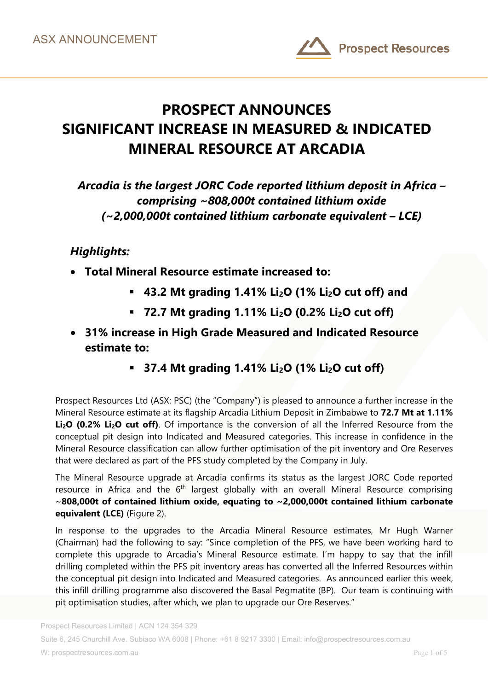

# **PROSPECT ANNOUNCES SIGNIFICANT INCREASE IN MEASURED & INDICATED MINERAL RESOURCE AT ARCADIA**

*Arcadia is the largest JORC Code reported lithium deposit in Africa – comprising ~808,000t contained lithium oxide (~2,000,000t contained lithium carbonate equivalent – LCE)* 

## *Highlights:*

- **Total Mineral Resource estimate increased to:** 
	- **43.2 Mt grading 1.41% Li2O (1% Li2O cut off) and**
	- **72.7 Mt grading 1.11% Li<sub>2</sub>O (0.2% Li<sub>2</sub>O cut off)**
- **31% increase in High Grade Measured and Indicated Resource estimate to:** 
	- **37.4 Mt grading 1.41% Li<sub>2</sub>O (1% Li<sub>2</sub>O cut off)**

Prospect Resources Ltd (ASX: PSC) (the "Company") is pleased to announce a further increase in the Mineral Resource estimate at its flagship Arcadia Lithium Deposit in Zimbabwe to **72.7 Mt at 1.11%**  Li<sub>2</sub>O (0.2% Li<sub>2</sub>O cut off). Of importance is the conversion of all the Inferred Resource from the conceptual pit design into Indicated and Measured categories. This increase in confidence in the Mineral Resource classification can allow further optimisation of the pit inventory and Ore Reserves that were declared as part of the PFS study completed by the Company in July.

The Mineral Resource upgrade at Arcadia confirms its status as the largest JORC Code reported resource in Africa and the  $6<sup>th</sup>$  largest globally with an overall Mineral Resource comprising ~**808,000t of contained lithium oxide, equating to ~2,000,000t contained lithium carbonate equivalent (LCE)** (Figure 2).

In response to the upgrades to the Arcadia Mineral Resource estimates, Mr Hugh Warner (Chairman) had the following to say: "Since completion of the PFS, we have been working hard to complete this upgrade to Arcadia's Mineral Resource estimate. I'm happy to say that the infill drilling completed within the PFS pit inventory areas has converted all the Inferred Resources within the conceptual pit design into Indicated and Measured categories. As announced earlier this week, this infill drilling programme also discovered the Basal Pegmatite (BP). Our team is continuing with pit optimisation studies, after which, we plan to upgrade our Ore Reserves."

Suite 6, 245 Churchill Ave. Subiaco WA 6008 | Phone: +61 8 9217 3300 | Email: info@prospectresources.com.au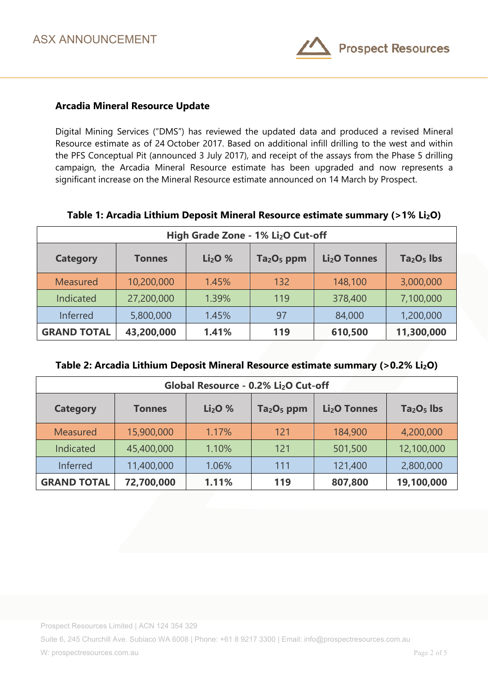

### **Arcadia Mineral Resource Update**

Digital Mining Services ("DMS") has reviewed the updated data and produced a revised Mineral Resource estimate as of 24 October 2017. Based on additional infill drilling to the west and within the PFS Conceptual Pit (announced 3 July 2017), and receipt of the assays from the Phase 5 drilling campaign, the Arcadia Mineral Resource estimate has been upgraded and now represents a significant increase on the Mineral Resource estimate announced on 14 March by Prospect.

| High Grade Zone - 1% Li <sub>2</sub> O Cut-off |               |                                |                                    |                          |             |
|------------------------------------------------|---------------|--------------------------------|------------------------------------|--------------------------|-------------|
| <b>Category</b>                                | <b>Tonnes</b> | Li <sub>2</sub> O <sub>%</sub> | Ta <sub>2</sub> O <sub>5</sub> ppm | Li <sub>2</sub> O Tonnes | $Ta2O5$ lbs |
| <b>Measured</b>                                | 10,200,000    | 1.45%                          | 132                                | 148,100                  | 3,000,000   |
| Indicated                                      | 27,200,000    | 1.39%                          | 119                                | 378,400                  | 7,100,000   |
| Inferred                                       | 5,800,000     | 1.45%                          | 97                                 | 84,000                   | 1,200,000   |
| <b>GRAND TOTAL</b>                             | 43,200,000    | 1.41%                          | 119                                | 610,500                  | 11,300,000  |

#### **Table 1: Arcadia Lithium Deposit Mineral Resource estimate summary (>1% Li2O)**

| Table 2: Arcadia Lithium Deposit Mineral Resource estimate summary (>0.2% Li2O) |  |  |  |
|---------------------------------------------------------------------------------|--|--|--|
|---------------------------------------------------------------------------------|--|--|--|

| Global Resource - 0.2% Li <sub>2</sub> O Cut-off |               |                                |                                    |                          |             |
|--------------------------------------------------|---------------|--------------------------------|------------------------------------|--------------------------|-------------|
| <b>Category</b>                                  | <b>Tonnes</b> | Li <sub>2</sub> O <sub>%</sub> | Ta <sub>2</sub> O <sub>5</sub> ppm | Li <sub>2</sub> O Tonnes | $Ta2O5$ lbs |
| <b>Measured</b>                                  | 15,900,000    | 1.17%                          | 121                                | 184,900                  | 4,200,000   |
| Indicated                                        | 45,400,000    | 1.10%                          | 121                                | 501,500                  | 12,100,000  |
| Inferred                                         | 11,400,000    | 1.06%                          | 111                                | 121,400                  | 2,800,000   |
| <b>GRAND TOTAL</b>                               | 72,700,000    | 1.11%                          | 119                                | 807,800                  | 19,100,000  |

Prospect Resources Limited | ACN 124 354 329

Suite 6, 245 Churchill Ave. Subiaco WA 6008 | Phone: +61 8 9217 3300 | Email: info@prospectresources.com.au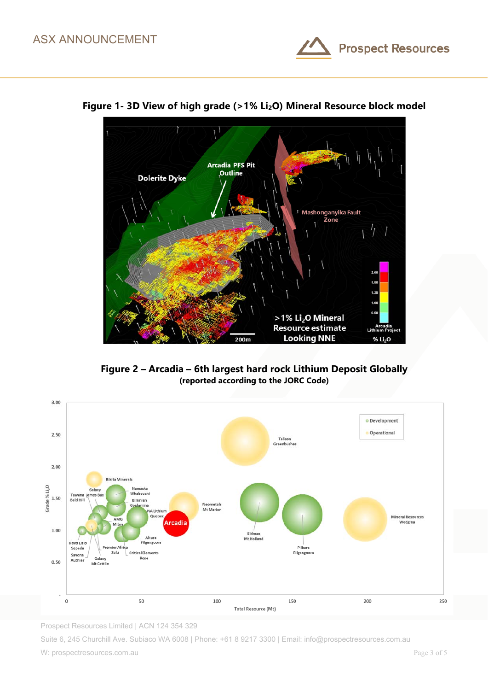



**Figure 1- 3D View of high grade (>1% Li2O) Mineral Resource block model** 

**Figure 2 – Arcadia – 6th largest hard rock Lithium Deposit Globally (reported according to the JORC Code)** 



Prospect Resources Limited | ACN 124 354 329

Suite 6, 245 Churchill Ave. Subiaco WA 6008 | Phone: +61 8 9217 3300 | Email: info@prospectresources.com.au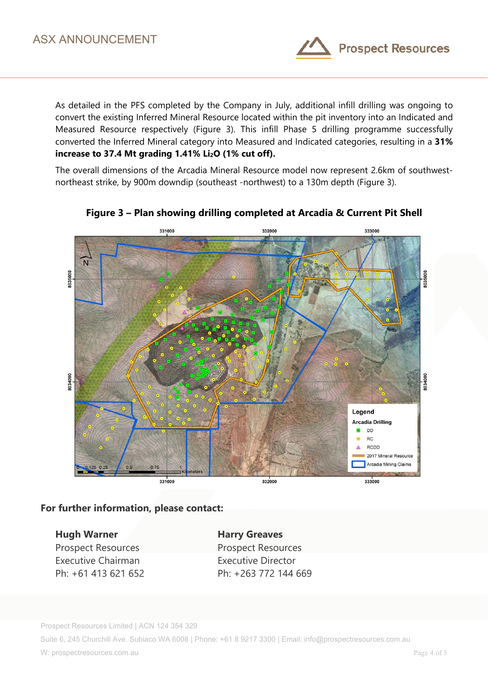

As detailed in the PFS completed by the Company in July, additional infill drilling was ongoing to convert the existing Inferred Mineral Resource located within the pit inventory into an Indicated and Measured Resource respectively (Figure 3). This infill Phase 5 drilling programme successfully converted the Inferred Mineral category into Measured and Indicated categories, resulting in a **31%**  increase to 37.4 Mt grading 1.41% Li<sub>2</sub>O (1% cut off).

The overall dimensions of the Arcadia Mineral Resource model now represent 2.6km of southwestnortheast strike, by 900m downdip (southeast -northwest) to a 130m depth (Figure 3).



### **Figure 3 – Plan showing drilling completed at Arcadia & Current Pit Shell**

**For further information, please contact:** 

**Hugh Warner Manufacture Harry Greaves** Prospect Resources Prospect Resources Executive Chairman **Executive Director** 

Ph: +61 413 621 652 Ph: +263 772 144 669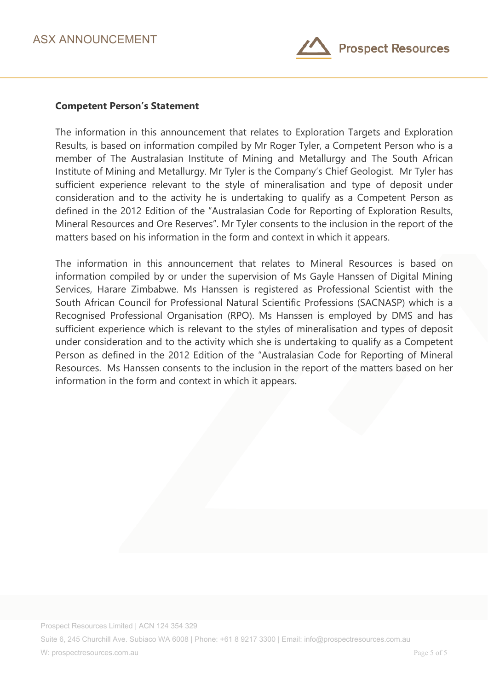

#### **Competent Person's Statement**

The information in this announcement that relates to Exploration Targets and Exploration Results, is based on information compiled by Mr Roger Tyler, a Competent Person who is a member of The Australasian Institute of Mining and Metallurgy and The South African Institute of Mining and Metallurgy. Mr Tyler is the Company's Chief Geologist. Mr Tyler has sufficient experience relevant to the style of mineralisation and type of deposit under consideration and to the activity he is undertaking to qualify as a Competent Person as defined in the 2012 Edition of the "Australasian Code for Reporting of Exploration Results, Mineral Resources and Ore Reserves". Mr Tyler consents to the inclusion in the report of the matters based on his information in the form and context in which it appears.

The information in this announcement that relates to Mineral Resources is based on information compiled by or under the supervision of Ms Gayle Hanssen of Digital Mining Services, Harare Zimbabwe. Ms Hanssen is registered as Professional Scientist with the South African Council for Professional Natural Scientific Professions (SACNASP) which is a Recognised Professional Organisation (RPO). Ms Hanssen is employed by DMS and has sufficient experience which is relevant to the styles of mineralisation and types of deposit under consideration and to the activity which she is undertaking to qualify as a Competent Person as defined in the 2012 Edition of the "Australasian Code for Reporting of Mineral Resources. Ms Hanssen consents to the inclusion in the report of the matters based on her information in the form and context in which it appears.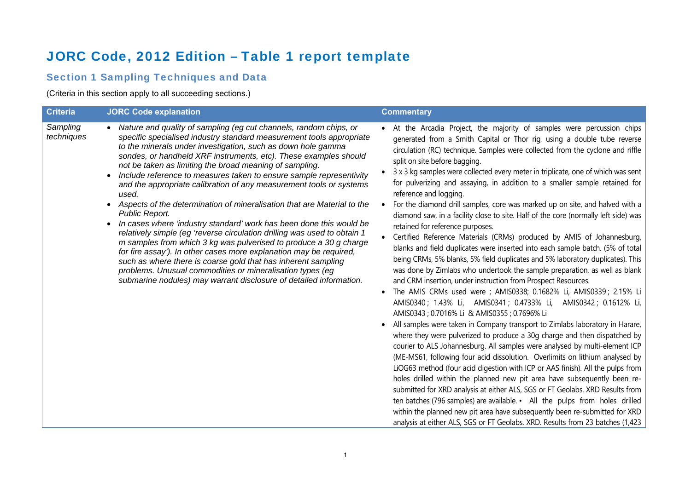# JORC Code, 2012 Edition – Table 1 report template

## Section 1 Sampling Techniques and Data

(Criteria in this section apply to all succeeding sections.)

| <b>Criteria</b>        | <b>JORC Code explanation</b>                                                                                                                                                                                                                                                                                                                                                                                                                                                                                                                                                                                                                                                                                                                                                                                                                                                                                                                                                                                                                                                                     | <b>Commentary</b>                                                                                                                                                                                                                                                                                                                                                                                                                                                                                                                                                                                                                                                                                                                                                                                                                                                                                                                                                                                                                                                                                                                                                                                                                                                                                                                                                                                                                                                                                                                                                                                                                                                                                                                                                                                                                                                                                                                                                                                                                                                                                                       |
|------------------------|--------------------------------------------------------------------------------------------------------------------------------------------------------------------------------------------------------------------------------------------------------------------------------------------------------------------------------------------------------------------------------------------------------------------------------------------------------------------------------------------------------------------------------------------------------------------------------------------------------------------------------------------------------------------------------------------------------------------------------------------------------------------------------------------------------------------------------------------------------------------------------------------------------------------------------------------------------------------------------------------------------------------------------------------------------------------------------------------------|-------------------------------------------------------------------------------------------------------------------------------------------------------------------------------------------------------------------------------------------------------------------------------------------------------------------------------------------------------------------------------------------------------------------------------------------------------------------------------------------------------------------------------------------------------------------------------------------------------------------------------------------------------------------------------------------------------------------------------------------------------------------------------------------------------------------------------------------------------------------------------------------------------------------------------------------------------------------------------------------------------------------------------------------------------------------------------------------------------------------------------------------------------------------------------------------------------------------------------------------------------------------------------------------------------------------------------------------------------------------------------------------------------------------------------------------------------------------------------------------------------------------------------------------------------------------------------------------------------------------------------------------------------------------------------------------------------------------------------------------------------------------------------------------------------------------------------------------------------------------------------------------------------------------------------------------------------------------------------------------------------------------------------------------------------------------------------------------------------------------------|
| Sampling<br>techniques | • Nature and quality of sampling (eg cut channels, random chips, or<br>specific specialised industry standard measurement tools appropriate<br>to the minerals under investigation, such as down hole gamma<br>sondes, or handheld XRF instruments, etc). These examples should<br>not be taken as limiting the broad meaning of sampling.<br>Include reference to measures taken to ensure sample representivity<br>and the appropriate calibration of any measurement tools or systems<br>used.<br>Aspects of the determination of mineralisation that are Material to the<br>Public Report.<br>In cases where 'industry standard' work has been done this would be<br>relatively simple (eg 'reverse circulation drilling was used to obtain 1<br>m samples from which 3 kg was pulverised to produce a 30 g charge<br>for fire assay'). In other cases more explanation may be required,<br>such as where there is coarse gold that has inherent sampling<br>problems. Unusual commodities or mineralisation types (eg<br>submarine nodules) may warrant disclosure of detailed information. | • At the Arcadia Project, the majority of samples were percussion chips<br>generated from a Smith Capital or Thor rig, using a double tube reverse<br>circulation (RC) technique. Samples were collected from the cyclone and riffle<br>split on site before bagging.<br>3 x 3 kg samples were collected every meter in triplicate, one of which was sent<br>for pulverizing and assaying, in addition to a smaller sample retained for<br>reference and logging.<br>For the diamond drill samples, core was marked up on site, and halved with a<br>diamond saw, in a facility close to site. Half of the core (normally left side) was<br>retained for reference purposes.<br>Certified Reference Materials (CRMs) produced by AMIS of Johannesburg,<br>blanks and field duplicates were inserted into each sample batch. (5% of total<br>being CRMs, 5% blanks, 5% field duplicates and 5% laboratory duplicates). This<br>was done by Zimlabs who undertook the sample preparation, as well as blank<br>and CRM insertion, under instruction from Prospect Resources.<br>The AMIS CRMs used were ; AMIS0338; 0.1682% Li, AMIS0339 ; 2.15% Li<br>$\bullet$<br>AMIS0340; 1.43% Li, AMIS0341; 0.4733% Li, AMIS0342; 0.1612% Li,<br>AMIS0343; 0.7016% Li & AMIS0355; 0.7696% Li<br>All samples were taken in Company transport to Zimlabs laboratory in Harare,<br>$\bullet$<br>where they were pulverized to produce a 30g charge and then dispatched by<br>courier to ALS Johannesburg. All samples were analysed by multi-element ICP<br>(ME-MS61, following four acid dissolution. Overlimits on lithium analysed by<br>LiOG63 method (four acid digestion with ICP or AAS finish). All the pulps from<br>holes drilled within the planned new pit area have subsequently been re-<br>submitted for XRD analysis at either ALS, SGS or FT Geolabs. XRD Results from<br>ten batches (796 samples) are available. • All the pulps from holes drilled<br>within the planned new pit area have subsequently been re-submitted for XRD<br>analysis at either ALS, SGS or FT Geolabs. XRD. Results from 23 batches (1,423 |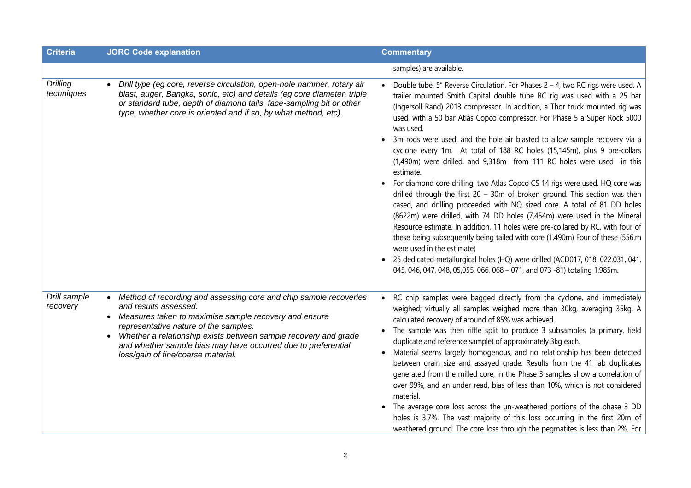| <b>Criteria</b>               | <b>JORC Code explanation</b>                                                                                                                                                                                                                                                                                                                                                          | <b>Commentary</b>                                                                                                                                                                                                                                                                                                                                                                                                                                                                                                                                                                                                                                                                                                                                                                                                                                                                                                                                                                                                                                                                                                                                                                                                                                                                           |
|-------------------------------|---------------------------------------------------------------------------------------------------------------------------------------------------------------------------------------------------------------------------------------------------------------------------------------------------------------------------------------------------------------------------------------|---------------------------------------------------------------------------------------------------------------------------------------------------------------------------------------------------------------------------------------------------------------------------------------------------------------------------------------------------------------------------------------------------------------------------------------------------------------------------------------------------------------------------------------------------------------------------------------------------------------------------------------------------------------------------------------------------------------------------------------------------------------------------------------------------------------------------------------------------------------------------------------------------------------------------------------------------------------------------------------------------------------------------------------------------------------------------------------------------------------------------------------------------------------------------------------------------------------------------------------------------------------------------------------------|
|                               |                                                                                                                                                                                                                                                                                                                                                                                       | samples) are available.                                                                                                                                                                                                                                                                                                                                                                                                                                                                                                                                                                                                                                                                                                                                                                                                                                                                                                                                                                                                                                                                                                                                                                                                                                                                     |
| <b>Drilling</b><br>techniques | Drill type (eg core, reverse circulation, open-hole hammer, rotary air<br>$\bullet$<br>blast, auger, Bangka, sonic, etc) and details (eg core diameter, triple<br>or standard tube, depth of diamond tails, face-sampling bit or other<br>type, whether core is oriented and if so, by what method, etc).                                                                             | Double tube, 5" Reverse Circulation. For Phases 2 - 4, two RC rigs were used. A<br>$\bullet$<br>trailer mounted Smith Capital double tube RC rig was used with a 25 bar<br>(Ingersoll Rand) 2013 compressor. In addition, a Thor truck mounted rig was<br>used, with a 50 bar Atlas Copco compressor. For Phase 5 a Super Rock 5000<br>was used.<br>• 3m rods were used, and the hole air blasted to allow sample recovery via a<br>cyclone every 1m. At total of 188 RC holes (15,145m), plus 9 pre-collars<br>(1,490m) were drilled, and 9,318m from 111 RC holes were used in this<br>estimate.<br>For diamond core drilling, two Atlas Copco CS 14 rigs were used. HQ core was<br>drilled through the first $20 - 30m$ of broken ground. This section was then<br>cased, and drilling proceeded with NQ sized core. A total of 81 DD holes<br>(8622m) were drilled, with 74 DD holes (7,454m) were used in the Mineral<br>Resource estimate. In addition, 11 holes were pre-collared by RC, with four of<br>these being subsequently being tailed with core (1,490m) Four of these (556.m<br>were used in the estimate)<br>25 dedicated metallurgical holes (HQ) were drilled (ACD017, 018, 022,031, 041,<br>045, 046, 047, 048, 05, 055, 066, 068 - 071, and 073 -81) totaling 1,985m. |
| Drill sample<br>recovery      | • Method of recording and assessing core and chip sample recoveries<br>and results assessed.<br>Measures taken to maximise sample recovery and ensure<br>$\bullet$<br>representative nature of the samples.<br>Whether a relationship exists between sample recovery and grade<br>and whether sample bias may have occurred due to preferential<br>loss/gain of fine/coarse material. | • RC chip samples were bagged directly from the cyclone, and immediately<br>weighed; virtually all samples weighed more than 30kg, averaging 35kg. A<br>calculated recovery of around of 85% was achieved.<br>The sample was then riffle split to produce 3 subsamples (a primary, field<br>duplicate and reference sample) of approximately 3kg each.<br>Material seems largely homogenous, and no relationship has been detected<br>between grain size and assayed grade. Results from the 41 lab duplicates<br>generated from the milled core, in the Phase 3 samples show a correlation of<br>over 99%, and an under read, bias of less than 10%, which is not considered<br>material.<br>• The average core loss across the un-weathered portions of the phase 3 DD<br>holes is 3.7%. The vast majority of this loss occurring in the first 20m of<br>weathered ground. The core loss through the pegmatites is less than 2%. For                                                                                                                                                                                                                                                                                                                                                      |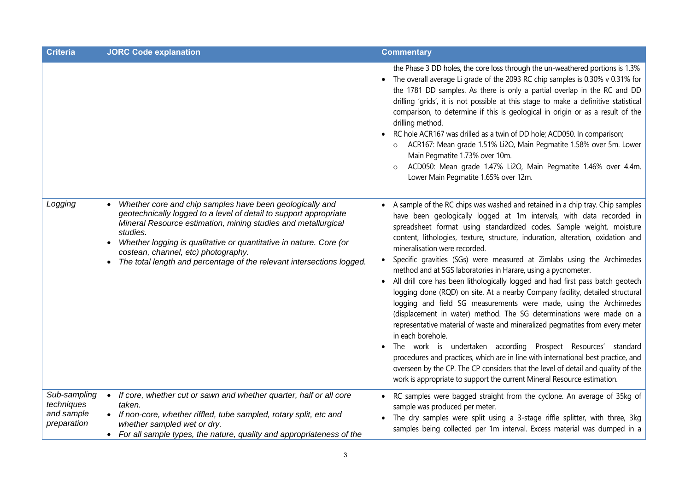| <b>Criteria</b>                                         | <b>JORC Code explanation</b>                                                                                                                                                                                                                                                                                                                                                                                                            | <b>Commentary</b>                                                                                                                                                                                                                                                                                                                                                                                                                                                                                                                                                                                                                                                                                                                                                                                                                                                                                                                                                                                                                                                                                                                                                                                                                                                  |
|---------------------------------------------------------|-----------------------------------------------------------------------------------------------------------------------------------------------------------------------------------------------------------------------------------------------------------------------------------------------------------------------------------------------------------------------------------------------------------------------------------------|--------------------------------------------------------------------------------------------------------------------------------------------------------------------------------------------------------------------------------------------------------------------------------------------------------------------------------------------------------------------------------------------------------------------------------------------------------------------------------------------------------------------------------------------------------------------------------------------------------------------------------------------------------------------------------------------------------------------------------------------------------------------------------------------------------------------------------------------------------------------------------------------------------------------------------------------------------------------------------------------------------------------------------------------------------------------------------------------------------------------------------------------------------------------------------------------------------------------------------------------------------------------|
|                                                         |                                                                                                                                                                                                                                                                                                                                                                                                                                         | the Phase 3 DD holes, the core loss through the un-weathered portions is 1.3%<br>• The overall average Li grade of the 2093 RC chip samples is 0.30% v 0.31% for<br>the 1781 DD samples. As there is only a partial overlap in the RC and DD<br>drilling 'grids', it is not possible at this stage to make a definitive statistical<br>comparison, to determine if this is geological in origin or as a result of the<br>drilling method.<br>RC hole ACR167 was drilled as a twin of DD hole; ACD050. In comparison;<br>ACR167: Mean grade 1.51% Li2O, Main Pegmatite 1.58% over 5m. Lower<br>$\circ$<br>Main Pegmatite 1.73% over 10m.<br>ACD050: Mean grade 1.47% Li2O, Main Pegmatite 1.46% over 4.4m.<br>Lower Main Pegmatite 1.65% over 12m.                                                                                                                                                                                                                                                                                                                                                                                                                                                                                                                  |
| Logging                                                 | Whether core and chip samples have been geologically and<br>$\bullet$<br>geotechnically logged to a level of detail to support appropriate<br>Mineral Resource estimation, mining studies and metallurgical<br>studies.<br>Whether logging is qualitative or quantitative in nature. Core (or<br>$\bullet$<br>costean, channel, etc) photography.<br>The total length and percentage of the relevant intersections logged.<br>$\bullet$ | A sample of the RC chips was washed and retained in a chip tray. Chip samples<br>$\bullet$<br>have been geologically logged at 1m intervals, with data recorded in<br>spreadsheet format using standardized codes. Sample weight, moisture<br>content, lithologies, texture, structure, induration, alteration, oxidation and<br>mineralisation were recorded.<br>Specific gravities (SGs) were measured at Zimlabs using the Archimedes<br>$\bullet$<br>method and at SGS laboratories in Harare, using a pycnometer.<br>All drill core has been lithologically logged and had first pass batch geotech<br>logging done (RQD) on site. At a nearby Company facility, detailed structural<br>logging and field SG measurements were made, using the Archimedes<br>(displacement in water) method. The SG determinations were made on a<br>representative material of waste and mineralized pegmatites from every meter<br>in each borehole.<br>• The work is undertaken according Prospect Resources' standard<br>procedures and practices, which are in line with international best practice, and<br>overseen by the CP. The CP considers that the level of detail and quality of the<br>work is appropriate to support the current Mineral Resource estimation. |
| Sub-sampling<br>techniques<br>and sample<br>preparation | If core, whether cut or sawn and whether quarter, half or all core<br>$\bullet$<br>taken.<br>• If non-core, whether riffled, tube sampled, rotary split, etc and<br>whether sampled wet or dry.<br>• For all sample types, the nature, quality and appropriateness of the                                                                                                                                                               | RC samples were bagged straight from the cyclone. An average of 35kg of<br>sample was produced per meter.<br>The dry samples were split using a 3-stage riffle splitter, with three, 3kg<br>samples being collected per 1m interval. Excess material was dumped in a                                                                                                                                                                                                                                                                                                                                                                                                                                                                                                                                                                                                                                                                                                                                                                                                                                                                                                                                                                                               |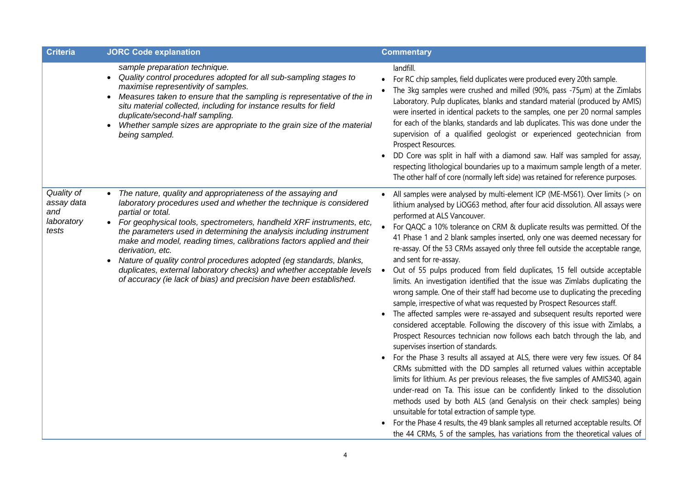| <b>Criteria</b>                                        | <b>JORC Code explanation</b>                                                                                                                                                                                                                                                                                                                                                                                                                                                                                                                                                                                                | <b>Commentary</b>                                                                                                                                                                                                                                                                                                                                                                                                                                                                                                                                                                                                                                                                                                                                                                                                                                                                                                                                                                                                                                                                                                                                                                                                                                                                                                                                                                                                                                                                                                                                                                                                                                                                                                           |
|--------------------------------------------------------|-----------------------------------------------------------------------------------------------------------------------------------------------------------------------------------------------------------------------------------------------------------------------------------------------------------------------------------------------------------------------------------------------------------------------------------------------------------------------------------------------------------------------------------------------------------------------------------------------------------------------------|-----------------------------------------------------------------------------------------------------------------------------------------------------------------------------------------------------------------------------------------------------------------------------------------------------------------------------------------------------------------------------------------------------------------------------------------------------------------------------------------------------------------------------------------------------------------------------------------------------------------------------------------------------------------------------------------------------------------------------------------------------------------------------------------------------------------------------------------------------------------------------------------------------------------------------------------------------------------------------------------------------------------------------------------------------------------------------------------------------------------------------------------------------------------------------------------------------------------------------------------------------------------------------------------------------------------------------------------------------------------------------------------------------------------------------------------------------------------------------------------------------------------------------------------------------------------------------------------------------------------------------------------------------------------------------------------------------------------------------|
|                                                        | sample preparation technique.<br>Quality control procedures adopted for all sub-sampling stages to<br>$\bullet$<br>maximise representivity of samples.<br>Measures taken to ensure that the sampling is representative of the in<br>$\bullet$<br>situ material collected, including for instance results for field<br>duplicate/second-half sampling.<br>Whether sample sizes are appropriate to the grain size of the material<br>being sampled.                                                                                                                                                                           | landfill.<br>For RC chip samples, field duplicates were produced every 20th sample.<br>The 3kg samples were crushed and milled (90%, pass -75µm) at the Zimlabs<br>Laboratory. Pulp duplicates, blanks and standard material (produced by AMIS)<br>were inserted in identical packets to the samples, one per 20 normal samples<br>for each of the blanks, standards and lab duplicates. This was done under the<br>supervision of a qualified geologist or experienced geotechnician from<br>Prospect Resources.<br>DD Core was split in half with a diamond saw. Half was sampled for assay,<br>respecting lithological boundaries up to a maximum sample length of a meter.<br>The other half of core (normally left side) was retained for reference purposes.                                                                                                                                                                                                                                                                                                                                                                                                                                                                                                                                                                                                                                                                                                                                                                                                                                                                                                                                                          |
| Quality of<br>assay data<br>and<br>laboratory<br>tests | The nature, quality and appropriateness of the assaying and<br>laboratory procedures used and whether the technique is considered<br>partial or total.<br>• For geophysical tools, spectrometers, handheld XRF instruments, etc,<br>the parameters used in determining the analysis including instrument<br>make and model, reading times, calibrations factors applied and their<br>derivation, etc.<br>Nature of quality control procedures adopted (eg standards, blanks,<br>duplicates, external laboratory checks) and whether acceptable levels<br>of accuracy (ie lack of bias) and precision have been established. | All samples were analysed by multi-element ICP (ME-MS61). Over limits (> on<br>lithium analysed by LiOG63 method, after four acid dissolution. All assays were<br>performed at ALS Vancouver.<br>For QAQC a 10% tolerance on CRM & duplicate results was permitted. Of the<br>41 Phase 1 and 2 blank samples inserted, only one was deemed necessary for<br>re-assay. Of the 53 CRMs assayed only three fell outside the acceptable range,<br>and sent for re-assay.<br>Out of 55 pulps produced from field duplicates, 15 fell outside acceptable<br>limits. An investigation identified that the issue was Zimlabs duplicating the<br>wrong sample. One of their staff had become use to duplicating the preceding<br>sample, irrespective of what was requested by Prospect Resources staff.<br>The affected samples were re-assayed and subsequent results reported were<br>considered acceptable. Following the discovery of this issue with Zimlabs, a<br>Prospect Resources technician now follows each batch through the lab, and<br>supervises insertion of standards.<br>For the Phase 3 results all assayed at ALS, there were very few issues. Of 84<br>$\bullet$<br>CRMs submitted with the DD samples all returned values within acceptable<br>limits for lithium. As per previous releases, the five samples of AMIS340, again<br>under-read on Ta. This issue can be confidently linked to the dissolution<br>methods used by both ALS (and Genalysis on their check samples) being<br>unsuitable for total extraction of sample type.<br>For the Phase 4 results, the 49 blank samples all returned acceptable results. Of<br>the 44 CRMs, 5 of the samples, has variations from the theoretical values of |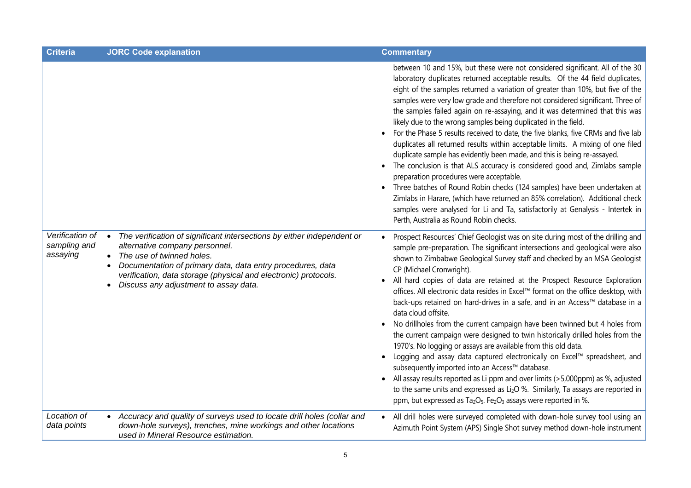| <b>Criteria</b>                             | <b>JORC Code explanation</b>                                                                                                                                                                                                                                                                                                 | <b>Commentary</b>                                                                                                                                                                                                                                                                                                                                                                                                                                                                                                                                                                                                                                                                                                                                                                                                                                                                                                                                                                                                                                                                                                                                                                                                                        |
|---------------------------------------------|------------------------------------------------------------------------------------------------------------------------------------------------------------------------------------------------------------------------------------------------------------------------------------------------------------------------------|------------------------------------------------------------------------------------------------------------------------------------------------------------------------------------------------------------------------------------------------------------------------------------------------------------------------------------------------------------------------------------------------------------------------------------------------------------------------------------------------------------------------------------------------------------------------------------------------------------------------------------------------------------------------------------------------------------------------------------------------------------------------------------------------------------------------------------------------------------------------------------------------------------------------------------------------------------------------------------------------------------------------------------------------------------------------------------------------------------------------------------------------------------------------------------------------------------------------------------------|
|                                             |                                                                                                                                                                                                                                                                                                                              | between 10 and 15%, but these were not considered significant. All of the 30<br>laboratory duplicates returned acceptable results. Of the 44 field duplicates,<br>eight of the samples returned a variation of greater than 10%, but five of the<br>samples were very low grade and therefore not considered significant. Three of<br>the samples failed again on re-assaying, and it was determined that this was<br>likely due to the wrong samples being duplicated in the field.<br>For the Phase 5 results received to date, the five blanks, five CRMs and five lab<br>duplicates all returned results within acceptable limits. A mixing of one filed<br>duplicate sample has evidently been made, and this is being re-assayed.<br>The conclusion is that ALS accuracy is considered good and, Zimlabs sample<br>preparation procedures were acceptable.<br>Three batches of Round Robin checks (124 samples) have been undertaken at<br>Zimlabs in Harare, (which have returned an 85% correlation). Additional check<br>samples were analysed for Li and Ta, satisfactorily at Genalysis - Intertek in<br>Perth, Australia as Round Robin checks.                                                                              |
| Verification of<br>sampling and<br>assaying | The verification of significant intersections by either independent or<br>$\bullet$<br>alternative company personnel.<br>The use of twinned holes.<br>Documentation of primary data, data entry procedures, data<br>verification, data storage (physical and electronic) protocols.<br>Discuss any adjustment to assay data. | Prospect Resources' Chief Geologist was on site during most of the drilling and<br>sample pre-preparation. The significant intersections and geological were also<br>shown to Zimbabwe Geological Survey staff and checked by an MSA Geologist<br>CP (Michael Cronwright).<br>All hard copies of data are retained at the Prospect Resource Exploration<br>offices. All electronic data resides in Excel™ format on the office desktop, with<br>back-ups retained on hard-drives in a safe, and in an Access™ database in a<br>data cloud offsite.<br>No drillholes from the current campaign have been twinned but 4 holes from<br>$\bullet$<br>the current campaign were designed to twin historically drilled holes from the<br>1970's. No logging or assays are available from this old data.<br>Logging and assay data captured electronically on Excel™ spreadsheet, and<br>subsequently imported into an Access™ database.<br>All assay results reported as Li ppm and over limits (>5,000ppm) as %, adjusted<br>to the same units and expressed as Li <sub>2</sub> O %. Similarly, Ta assays are reported in<br>ppm, but expressed as Ta <sub>2</sub> O <sub>5</sub> . Fe <sub>2</sub> O <sub>3</sub> assays were reported in %. |
| Location of<br>data points                  | Accuracy and quality of surveys used to locate drill holes (collar and<br>down-hole surveys), trenches, mine workings and other locations<br>used in Mineral Resource estimation.                                                                                                                                            | All drill holes were surveyed completed with down-hole survey tool using an<br>$\bullet$<br>Azimuth Point System (APS) Single Shot survey method down-hole instrument                                                                                                                                                                                                                                                                                                                                                                                                                                                                                                                                                                                                                                                                                                                                                                                                                                                                                                                                                                                                                                                                    |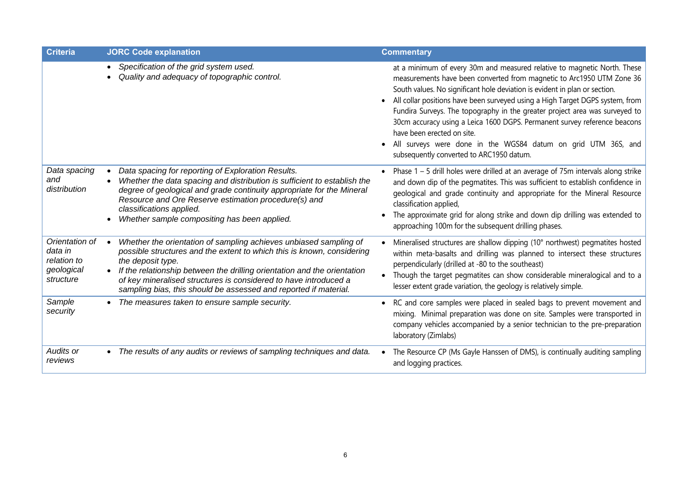| <b>Criteria</b>                                                     | <b>JORC Code explanation</b>                                                                                                                                                                                                                                                                                                                                                                      | <b>Commentary</b>                                                                                                                                                                                                                                                                                                                                                                                                                                                                                                                                                                                                       |
|---------------------------------------------------------------------|---------------------------------------------------------------------------------------------------------------------------------------------------------------------------------------------------------------------------------------------------------------------------------------------------------------------------------------------------------------------------------------------------|-------------------------------------------------------------------------------------------------------------------------------------------------------------------------------------------------------------------------------------------------------------------------------------------------------------------------------------------------------------------------------------------------------------------------------------------------------------------------------------------------------------------------------------------------------------------------------------------------------------------------|
|                                                                     | Specification of the grid system used.<br>$\bullet$<br>Quality and adequacy of topographic control.                                                                                                                                                                                                                                                                                               | at a minimum of every 30m and measured relative to magnetic North. These<br>measurements have been converted from magnetic to Arc1950 UTM Zone 36<br>South values. No significant hole deviation is evident in plan or section.<br>All collar positions have been surveyed using a High Target DGPS system, from<br>Fundira Surveys. The topography in the greater project area was surveyed to<br>30cm accuracy using a Leica 1600 DGPS. Permanent survey reference beacons<br>have been erected on site.<br>All surveys were done in the WGS84 datum on grid UTM 36S, and<br>subsequently converted to ARC1950 datum. |
| Data spacing<br>and<br>distribution                                 | Data spacing for reporting of Exploration Results.<br>Whether the data spacing and distribution is sufficient to establish the<br>degree of geological and grade continuity appropriate for the Mineral<br>Resource and Ore Reserve estimation procedure(s) and<br>classifications applied.<br>Whether sample compositing has been applied.                                                       | Phase $1 - 5$ drill holes were drilled at an average of 75m intervals along strike<br>and down dip of the pegmatites. This was sufficient to establish confidence in<br>geological and grade continuity and appropriate for the Mineral Resource<br>classification applied,<br>The approximate grid for along strike and down dip drilling was extended to<br>approaching 100m for the subsequent drilling phases.                                                                                                                                                                                                      |
| Orientation of<br>data in<br>relation to<br>geological<br>structure | Whether the orientation of sampling achieves unbiased sampling of<br>possible structures and the extent to which this is known, considering<br>the deposit type.<br>If the relationship between the drilling orientation and the orientation<br>$\bullet$<br>of key mineralised structures is considered to have introduced a<br>sampling bias, this should be assessed and reported if material. | Mineralised structures are shallow dipping (10° northwest) pegmatites hosted<br>within meta-basalts and drilling was planned to intersect these structures<br>perpendicularly (drilled at -80 to the southeast)<br>Though the target pegmatites can show considerable mineralogical and to a<br>$\bullet$<br>lesser extent grade variation, the geology is relatively simple.                                                                                                                                                                                                                                           |
| Sample<br>security                                                  | The measures taken to ensure sample security.                                                                                                                                                                                                                                                                                                                                                     | RC and core samples were placed in sealed bags to prevent movement and<br>$\bullet$<br>mixing. Minimal preparation was done on site. Samples were transported in<br>company vehicles accompanied by a senior technician to the pre-preparation<br>laboratory (Zimlabs)                                                                                                                                                                                                                                                                                                                                                  |
| Audits or<br>reviews                                                | The results of any audits or reviews of sampling techniques and data.<br>$\bullet$                                                                                                                                                                                                                                                                                                                | The Resource CP (Ms Gayle Hanssen of DMS), is continually auditing sampling<br>$\bullet$<br>and logging practices.                                                                                                                                                                                                                                                                                                                                                                                                                                                                                                      |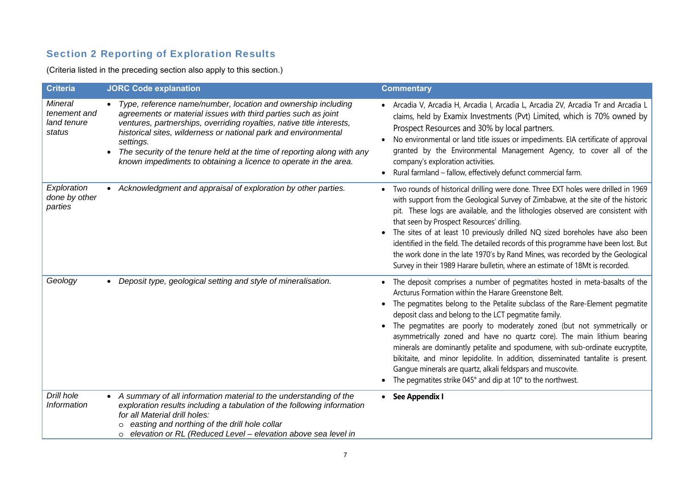## Section 2 Reporting of Exploration Results

(Criteria listed in the preceding section also apply to this section.)

| <b>Criteria</b>                                  | <b>JORC Code explanation</b>                                                                                                                                                                                                                                                                                                                                                                                                              | <b>Commentary</b>                                                                                                                                                                                                                                                                                                                                                                                                                                                                                                                                                                                                                                                                                                                     |
|--------------------------------------------------|-------------------------------------------------------------------------------------------------------------------------------------------------------------------------------------------------------------------------------------------------------------------------------------------------------------------------------------------------------------------------------------------------------------------------------------------|---------------------------------------------------------------------------------------------------------------------------------------------------------------------------------------------------------------------------------------------------------------------------------------------------------------------------------------------------------------------------------------------------------------------------------------------------------------------------------------------------------------------------------------------------------------------------------------------------------------------------------------------------------------------------------------------------------------------------------------|
| Mineral<br>tenement and<br>land tenure<br>status | • Type, reference name/number, location and ownership including<br>agreements or material issues with third parties such as joint<br>ventures, partnerships, overriding royalties, native title interests,<br>historical sites, wilderness or national park and environmental<br>settings.<br>The security of the tenure held at the time of reporting along with any<br>known impediments to obtaining a licence to operate in the area. | · Arcadia V, Arcadia H, Arcadia I, Arcadia L, Arcadia 2V, Arcadia Tr and Arcadia L<br>claims, held by Examix Investments (Pvt) Limited, which is 70% owned by<br>Prospect Resources and 30% by local partners.<br>No environmental or land title issues or impediments. EIA certificate of approval<br>granted by the Environmental Management Agency, to cover all of the<br>company's exploration activities.<br>Rural farmland - fallow, effectively defunct commercial farm.                                                                                                                                                                                                                                                      |
| Exploration<br>done by other<br>parties          | Acknowledgment and appraisal of exploration by other parties.                                                                                                                                                                                                                                                                                                                                                                             | Two rounds of historical drilling were done. Three EXT holes were drilled in 1969<br>with support from the Geological Survey of Zimbabwe, at the site of the historic<br>pit. These logs are available, and the lithologies observed are consistent with<br>that seen by Prospect Resources' drilling.<br>The sites of at least 10 previously drilled NQ sized boreholes have also been<br>identified in the field. The detailed records of this programme have been lost. But<br>the work done in the late 1970's by Rand Mines, was recorded by the Geological<br>Survey in their 1989 Harare bulletin, where an estimate of 18Mt is recorded.                                                                                      |
| Geology                                          | Deposit type, geological setting and style of mineralisation.                                                                                                                                                                                                                                                                                                                                                                             | The deposit comprises a number of pegmatites hosted in meta-basalts of the<br>Arcturus Formation within the Harare Greenstone Belt.<br>The pegmatites belong to the Petalite subclass of the Rare-Element pegmatite<br>deposit class and belong to the LCT pegmatite family.<br>The pegmatites are poorly to moderately zoned (but not symmetrically or<br>asymmetrically zoned and have no quartz core). The main lithium bearing<br>minerals are dominantly petalite and spodumene, with sub-ordinate eucryptite,<br>bikitaite, and minor lepidolite. In addition, disseminated tantalite is present.<br>Gangue minerals are quartz, alkali feldspars and muscovite.<br>The pegmatites strike 045° and dip at 10° to the northwest. |
| Drill hole<br><b>Information</b>                 | A summary of all information material to the understanding of the<br>exploration results including a tabulation of the following information<br>for all Material drill holes:<br>easting and northing of the drill hole collar<br>elevation or RL (Reduced Level - elevation above sea level in<br>$\circ$                                                                                                                                | • See Appendix I                                                                                                                                                                                                                                                                                                                                                                                                                                                                                                                                                                                                                                                                                                                      |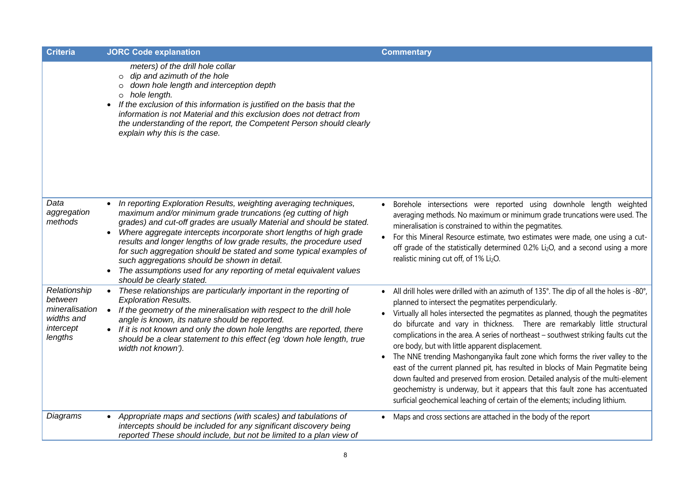| <b>Criteria</b>                                                                 | <b>JORC Code explanation</b>                                                                                                                                                                                                                                                                                                                                                                                                                                                                                                                                                                 | <b>Commentary</b>                                                                                                                                                                                                                                                                                                                                                                                                                                                                                                                                                                                                                                                                                                                                                                                                                                                                                   |
|---------------------------------------------------------------------------------|----------------------------------------------------------------------------------------------------------------------------------------------------------------------------------------------------------------------------------------------------------------------------------------------------------------------------------------------------------------------------------------------------------------------------------------------------------------------------------------------------------------------------------------------------------------------------------------------|-----------------------------------------------------------------------------------------------------------------------------------------------------------------------------------------------------------------------------------------------------------------------------------------------------------------------------------------------------------------------------------------------------------------------------------------------------------------------------------------------------------------------------------------------------------------------------------------------------------------------------------------------------------------------------------------------------------------------------------------------------------------------------------------------------------------------------------------------------------------------------------------------------|
|                                                                                 | meters) of the drill hole collar<br>dip and azimuth of the hole<br>$\circ$<br>down hole length and interception depth<br>$\circ$<br>o hole length.<br>If the exclusion of this information is justified on the basis that the<br>$\bullet$<br>information is not Material and this exclusion does not detract from<br>the understanding of the report, the Competent Person should clearly<br>explain why this is the case.                                                                                                                                                                  |                                                                                                                                                                                                                                                                                                                                                                                                                                                                                                                                                                                                                                                                                                                                                                                                                                                                                                     |
| Data<br>aggregation<br>methods                                                  | In reporting Exploration Results, weighting averaging techniques,<br>maximum and/or minimum grade truncations (eg cutting of high<br>grades) and cut-off grades are usually Material and should be stated.<br>Where aggregate intercepts incorporate short lengths of high grade<br>$\bullet$<br>results and longer lengths of low grade results, the procedure used<br>for such aggregation should be stated and some typical examples of<br>such aggregations should be shown in detail.<br>The assumptions used for any reporting of metal equivalent values<br>should be clearly stated. | Borehole intersections were reported using downhole length weighted<br>averaging methods. No maximum or minimum grade truncations were used. The<br>mineralisation is constrained to within the pegmatites.<br>For this Mineral Resource estimate, two estimates were made, one using a cut-<br>off grade of the statistically determined 0.2% Li <sub>2</sub> O, and a second using a more<br>realistic mining cut off, of 1% Li <sub>2</sub> O.                                                                                                                                                                                                                                                                                                                                                                                                                                                   |
| Relationship<br>between<br>mineralisation<br>widths and<br>intercept<br>lengths | These relationships are particularly important in the reporting of<br><b>Exploration Results.</b><br>If the geometry of the mineralisation with respect to the drill hole<br>$\bullet$<br>angle is known, its nature should be reported.<br>• If it is not known and only the down hole lengths are reported, there<br>should be a clear statement to this effect (eg 'down hole length, true<br>width not known').                                                                                                                                                                          | All drill holes were drilled with an azimuth of 135°. The dip of all the holes is -80°,<br>$\bullet$<br>planned to intersect the pegmatites perpendicularly.<br>Virtually all holes intersected the pegmatites as planned, though the pegmatites<br>do bifurcate and vary in thickness. There are remarkably little structural<br>complications in the area. A series of northeast - southwest striking faults cut the<br>ore body, but with little apparent displacement.<br>The NNE trending Mashonganyika fault zone which forms the river valley to the<br>east of the current planned pit, has resulted in blocks of Main Pegmatite being<br>down faulted and preserved from erosion. Detailed analysis of the multi-element<br>geochemistry is underway, but it appears that this fault zone has accentuated<br>surficial geochemical leaching of certain of the elements; including lithium. |
| Diagrams                                                                        | Appropriate maps and sections (with scales) and tabulations of<br>intercepts should be included for any significant discovery being<br>reported These should include, but not be limited to a plan view of                                                                                                                                                                                                                                                                                                                                                                                   | Maps and cross sections are attached in the body of the report                                                                                                                                                                                                                                                                                                                                                                                                                                                                                                                                                                                                                                                                                                                                                                                                                                      |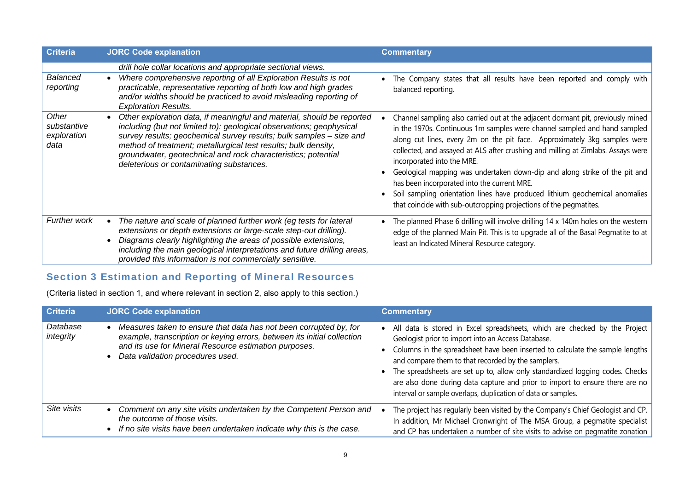| <b>Criteria</b>                             | <b>JORC Code explanation</b>                                                                                                                                                                                                                                                                                                                                                                         | <b>Commentary</b>                                                                                                                                                                                                                                                                                                                                                                                                                                                                                                                                                                                                                            |
|---------------------------------------------|------------------------------------------------------------------------------------------------------------------------------------------------------------------------------------------------------------------------------------------------------------------------------------------------------------------------------------------------------------------------------------------------------|----------------------------------------------------------------------------------------------------------------------------------------------------------------------------------------------------------------------------------------------------------------------------------------------------------------------------------------------------------------------------------------------------------------------------------------------------------------------------------------------------------------------------------------------------------------------------------------------------------------------------------------------|
| Balanced<br>reporting                       | drill hole collar locations and appropriate sectional views.<br>Where comprehensive reporting of all Exploration Results is not<br>practicable, representative reporting of both low and high grades<br>and/or widths should be practiced to avoid misleading reporting of<br><b>Exploration Results.</b>                                                                                            | The Company states that all results have been reported and comply with<br>balanced reporting.                                                                                                                                                                                                                                                                                                                                                                                                                                                                                                                                                |
| Other<br>substantive<br>exploration<br>data | Other exploration data, if meaningful and material, should be reported<br>including (but not limited to): geological observations; geophysical<br>survey results; geochemical survey results; bulk samples - size and<br>method of treatment; metallurgical test results; bulk density,<br>groundwater, geotechnical and rock characteristics; potential<br>deleterious or contaminating substances. | Channel sampling also carried out at the adjacent dormant pit, previously mined<br>in the 1970s. Continuous 1m samples were channel sampled and hand sampled<br>along cut lines, every 2m on the pit face. Approximately 3kg samples were<br>collected, and assayed at ALS after crushing and milling at Zimlabs. Assays were<br>incorporated into the MRE.<br>Geological mapping was undertaken down-dip and along strike of the pit and<br>has been incorporated into the current MRE.<br>Soil sampling orientation lines have produced lithium geochemical anomalies<br>that coincide with sub-outcropping projections of the pegmatites. |
| Further work                                | The nature and scale of planned further work (eg tests for lateral<br>extensions or depth extensions or large-scale step-out drilling).<br>Diagrams clearly highlighting the areas of possible extensions,<br>including the main geological interpretations and future drilling areas,<br>provided this information is not commercially sensitive.                                                   | The planned Phase 6 drilling will involve drilling 14 x 140m holes on the western $ $<br>edge of the planned Main Pit. This is to upgrade all of the Basal Pegmatite to at<br>least an Indicated Mineral Resource category.                                                                                                                                                                                                                                                                                                                                                                                                                  |

## Section 3 Estimation and Reporting of Mineral Resources

(Criteria listed in section 1, and where relevant in section 2, also apply to this section.)

| <b>Criteria</b>       | <b>JORC Code explanation</b>                                                                                                                                                                                                              | <b>Commentary</b>                                                                                                                                                                                                                                                                                                                                                                                                                                                                                            |
|-----------------------|-------------------------------------------------------------------------------------------------------------------------------------------------------------------------------------------------------------------------------------------|--------------------------------------------------------------------------------------------------------------------------------------------------------------------------------------------------------------------------------------------------------------------------------------------------------------------------------------------------------------------------------------------------------------------------------------------------------------------------------------------------------------|
| Database<br>integrity | Measures taken to ensure that data has not been corrupted by, for<br>example, transcription or keying errors, between its initial collection<br>and its use for Mineral Resource estimation purposes.<br>Data validation procedures used. | All data is stored in Excel spreadsheets, which are checked by the Project<br>Geologist prior to import into an Access Database.<br>• Columns in the spreadsheet have been inserted to calculate the sample lengths<br>and compare them to that recorded by the samplers.<br>• The spreadsheets are set up to, allow only standardized logging codes. Checks<br>are also done during data capture and prior to import to ensure there are no<br>interval or sample overlaps, duplication of data or samples. |
| Site visits           | Comment on any site visits undertaken by the Competent Person and<br>the outcome of those visits.<br>If no site visits have been undertaken indicate why this is the case.                                                                | The project has regularly been visited by the Company's Chief Geologist and CP.<br>In addition, Mr Michael Cronwright of The MSA Group, a pegmatite specialist<br>and CP has undertaken a number of site visits to advise on pegmatite zonation                                                                                                                                                                                                                                                              |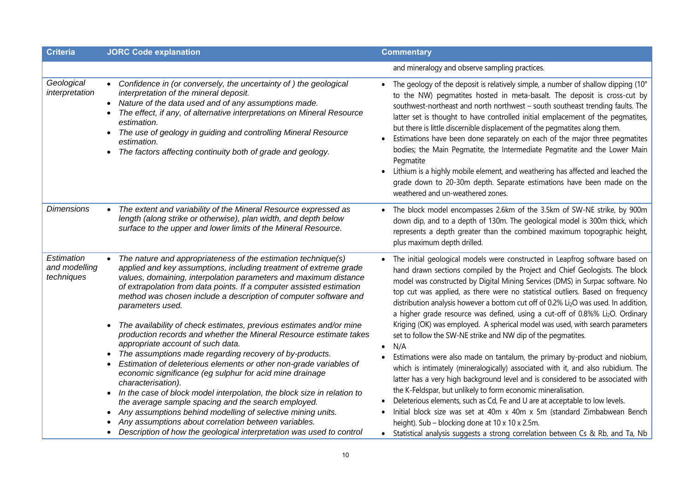| <b>Criteria</b>                           | <b>JORC Code explanation</b>                                                                                                                                                                                                                                                                                                                                                                                                                                                                                                                                                                                                                                                                                                                                                                                                                                                                                                                                                                                                                                                                                                           | <b>Commentary</b>                                                                                                                                                                                                                                                                                                                                                                                                                                                                                                                                                                                                                                                                                                                                                                                                                                                                                                                                                                                                                                                                                                                                                                                                                                                                                 |
|-------------------------------------------|----------------------------------------------------------------------------------------------------------------------------------------------------------------------------------------------------------------------------------------------------------------------------------------------------------------------------------------------------------------------------------------------------------------------------------------------------------------------------------------------------------------------------------------------------------------------------------------------------------------------------------------------------------------------------------------------------------------------------------------------------------------------------------------------------------------------------------------------------------------------------------------------------------------------------------------------------------------------------------------------------------------------------------------------------------------------------------------------------------------------------------------|---------------------------------------------------------------------------------------------------------------------------------------------------------------------------------------------------------------------------------------------------------------------------------------------------------------------------------------------------------------------------------------------------------------------------------------------------------------------------------------------------------------------------------------------------------------------------------------------------------------------------------------------------------------------------------------------------------------------------------------------------------------------------------------------------------------------------------------------------------------------------------------------------------------------------------------------------------------------------------------------------------------------------------------------------------------------------------------------------------------------------------------------------------------------------------------------------------------------------------------------------------------------------------------------------|
|                                           |                                                                                                                                                                                                                                                                                                                                                                                                                                                                                                                                                                                                                                                                                                                                                                                                                                                                                                                                                                                                                                                                                                                                        | and mineralogy and observe sampling practices.                                                                                                                                                                                                                                                                                                                                                                                                                                                                                                                                                                                                                                                                                                                                                                                                                                                                                                                                                                                                                                                                                                                                                                                                                                                    |
| Geological<br>interpretation              | Confidence in (or conversely, the uncertainty of) the geological<br>interpretation of the mineral deposit.<br>Nature of the data used and of any assumptions made.<br>The effect, if any, of alternative interpretations on Mineral Resource<br>estimation.<br>The use of geology in guiding and controlling Mineral Resource<br>estimation.<br>The factors affecting continuity both of grade and geology.                                                                                                                                                                                                                                                                                                                                                                                                                                                                                                                                                                                                                                                                                                                            | The geology of the deposit is relatively simple, a number of shallow dipping (10°<br>to the NW) pegmatites hosted in meta-basalt. The deposit is cross-cut by<br>southwest-northeast and north northwest - south southeast trending faults. The<br>latter set is thought to have controlled initial emplacement of the pegmatites,<br>but there is little discernible displacement of the pegmatites along them.<br>Estimations have been done separately on each of the major three pegmatites<br>bodies; the Main Pegmatite, the Intermediate Pegmatite and the Lower Main<br>Pegmatite<br>Lithium is a highly mobile element, and weathering has affected and leached the<br>grade down to 20-30m depth. Separate estimations have been made on the<br>weathered and un-weathered zones.                                                                                                                                                                                                                                                                                                                                                                                                                                                                                                       |
| <b>Dimensions</b>                         | The extent and variability of the Mineral Resource expressed as<br>length (along strike or otherwise), plan width, and depth below<br>surface to the upper and lower limits of the Mineral Resource.                                                                                                                                                                                                                                                                                                                                                                                                                                                                                                                                                                                                                                                                                                                                                                                                                                                                                                                                   | The block model encompasses 2.6km of the 3.5km of SW-NE strike, by 900m<br>down dip, and to a depth of 130m. The geological model is 300m thick, which<br>represents a depth greater than the combined maximum topographic height,<br>plus maximum depth drilled.                                                                                                                                                                                                                                                                                                                                                                                                                                                                                                                                                                                                                                                                                                                                                                                                                                                                                                                                                                                                                                 |
| Estimation<br>and modelling<br>techniques | The nature and appropriateness of the estimation technique(s)<br>applied and key assumptions, including treatment of extreme grade<br>values, domaining, interpolation parameters and maximum distance<br>of extrapolation from data points. If a computer assisted estimation<br>method was chosen include a description of computer software and<br>parameters used.<br>The availability of check estimates, previous estimates and/or mine<br>production records and whether the Mineral Resource estimate takes<br>appropriate account of such data.<br>The assumptions made regarding recovery of by-products.<br>Estimation of deleterious elements or other non-grade variables of<br>economic significance (eg sulphur for acid mine drainage<br>characterisation).<br>In the case of block model interpolation, the block size in relation to<br>$\bullet$<br>the average sample spacing and the search employed.<br>Any assumptions behind modelling of selective mining units.<br>Any assumptions about correlation between variables.<br>Description of how the geological interpretation was used to control<br>$\bullet$ | The initial geological models were constructed in Leapfrog software based on<br>hand drawn sections compiled by the Project and Chief Geologists. The block<br>model was constructed by Digital Mining Services (DMS) in Surpac software. No<br>top cut was applied, as there were no statistical outliers. Based on frequency<br>distribution analysis however a bottom cut off of 0.2% Li <sub>2</sub> O was used. In addition,<br>a higher grade resource was defined, using a cut-off of 0.8%% Li2O. Ordinary<br>Kriging (OK) was employed. A spherical model was used, with search parameters<br>set to follow the SW-NE strike and NW dip of the pegmatites.<br>N/A<br>Estimations were also made on tantalum, the primary by-product and niobium,<br>which is intimately (mineralogically) associated with it, and also rubidium. The<br>latter has a very high background level and is considered to be associated with<br>the K-Feldspar, but unlikely to form economic mineralisation.<br>Deleterious elements, such as Cd, Fe and U are at acceptable to low levels.<br>Initial block size was set at 40m x 40m x 5m (standard Zimbabwean Bench<br>height). Sub - blocking done at 10 x 10 x 2.5m.<br>• Statistical analysis suggests a strong correlation between Cs & Rb, and Ta, Nb |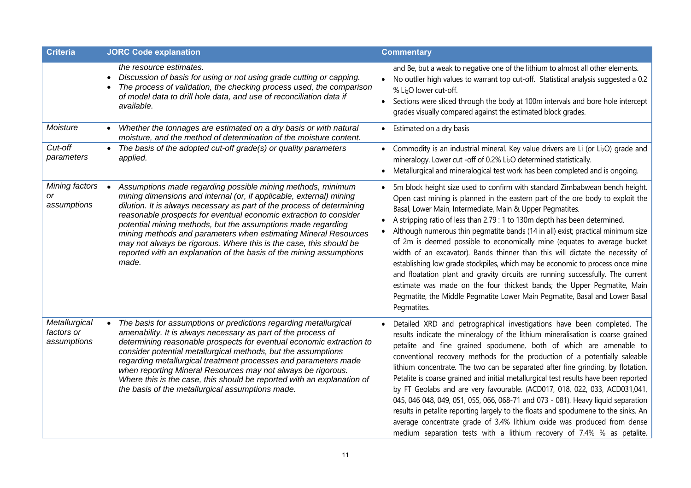| <b>Criteria</b>                            | <b>JORC Code explanation</b>                                                                                                                                                                                                                                                                                                                                                                                                                                                                                                                                               | <b>Commentary</b>                                                                                                                                                                                                                                                                                                                                                                                                                                                                                                                                                                                                                                                                                                                                                                                                                                                                                       |
|--------------------------------------------|----------------------------------------------------------------------------------------------------------------------------------------------------------------------------------------------------------------------------------------------------------------------------------------------------------------------------------------------------------------------------------------------------------------------------------------------------------------------------------------------------------------------------------------------------------------------------|---------------------------------------------------------------------------------------------------------------------------------------------------------------------------------------------------------------------------------------------------------------------------------------------------------------------------------------------------------------------------------------------------------------------------------------------------------------------------------------------------------------------------------------------------------------------------------------------------------------------------------------------------------------------------------------------------------------------------------------------------------------------------------------------------------------------------------------------------------------------------------------------------------|
|                                            | the resource estimates.<br>Discussion of basis for using or not using grade cutting or capping.<br>The process of validation, the checking process used, the comparison<br>of model data to drill hole data, and use of reconciliation data if<br>available.                                                                                                                                                                                                                                                                                                               | and Be, but a weak to negative one of the lithium to almost all other elements.<br>No outlier high values to warrant top cut-off. Statistical analysis suggested a 0.2<br>% Li <sub>2</sub> O lower cut-off.<br>• Sections were sliced through the body at 100m intervals and bore hole intercept<br>grades visually compared against the estimated block grades.                                                                                                                                                                                                                                                                                                                                                                                                                                                                                                                                       |
| Moisture                                   | Whether the tonnages are estimated on a dry basis or with natural<br>moisture, and the method of determination of the moisture content.                                                                                                                                                                                                                                                                                                                                                                                                                                    | Estimated on a dry basis                                                                                                                                                                                                                                                                                                                                                                                                                                                                                                                                                                                                                                                                                                                                                                                                                                                                                |
| Cut-off<br>parameters                      | The basis of the adopted cut-off grade(s) or quality parameters<br>applied.                                                                                                                                                                                                                                                                                                                                                                                                                                                                                                | • Commodity is an industrial mineral. Key value drivers are Li (or Li <sub>2</sub> O) grade and<br>mineralogy. Lower cut -off of 0.2% Li <sub>2</sub> O determined statistically.<br>Metallurgical and mineralogical test work has been completed and is ongoing.                                                                                                                                                                                                                                                                                                                                                                                                                                                                                                                                                                                                                                       |
| Mining factors<br>or<br>assumptions        | Assumptions made regarding possible mining methods, minimum<br>mining dimensions and internal (or, if applicable, external) mining<br>dilution. It is always necessary as part of the process of determining<br>reasonable prospects for eventual economic extraction to consider<br>potential mining methods, but the assumptions made regarding<br>mining methods and parameters when estimating Mineral Resources<br>may not always be rigorous. Where this is the case, this should be<br>reported with an explanation of the basis of the mining assumptions<br>made. | 5m block height size used to confirm with standard Zimbabwean bench height.<br>Open cast mining is planned in the eastern part of the ore body to exploit the<br>Basal, Lower Main, Intermediate, Main & Upper Pegmatites.<br>A stripping ratio of less than 2.79 : 1 to 130m depth has been determined.<br>Although numerous thin pegmatite bands (14 in all) exist; practical minimum size<br>of 2m is deemed possible to economically mine (equates to average bucket<br>width of an excavator). Bands thinner than this will dictate the necessity of<br>establishing low grade stockpiles, which may be economic to process once mine<br>and floatation plant and gravity circuits are running successfully. The current<br>estimate was made on the four thickest bands; the Upper Pegmatite, Main<br>Pegmatite, the Middle Pegmatite Lower Main Pegmatite, Basal and Lower Basal<br>Pegmatites.  |
| Metallurgical<br>factors or<br>assumptions | The basis for assumptions or predictions regarding metallurgical<br>amenability. It is always necessary as part of the process of<br>determining reasonable prospects for eventual economic extraction to<br>consider potential metallurgical methods, but the assumptions<br>regarding metallurgical treatment processes and parameters made<br>when reporting Mineral Resources may not always be rigorous.<br>Where this is the case, this should be reported with an explanation of<br>the basis of the metallurgical assumptions made.                                | Detailed XRD and petrographical investigations have been completed. The<br>results indicate the mineralogy of the lithium mineralisation is coarse grained<br>petalite and fine grained spodumene, both of which are amenable to<br>conventional recovery methods for the production of a potentially saleable<br>lithium concentrate. The two can be separated after fine grinding, by flotation.<br>Petalite is coarse grained and initial metallurgical test results have been reported<br>by FT Geolabs and are very favourable. (ACD017, 018, 022, 033, ACD031,041,<br>045, 046 048, 049, 051, 055, 066, 068-71 and 073 - 081). Heavy liquid separation<br>results in petalite reporting largely to the floats and spodumene to the sinks. An<br>average concentrate grade of 3.4% lithium oxide was produced from dense<br>medium separation tests with a lithium recovery of 7.4% % as petalite. |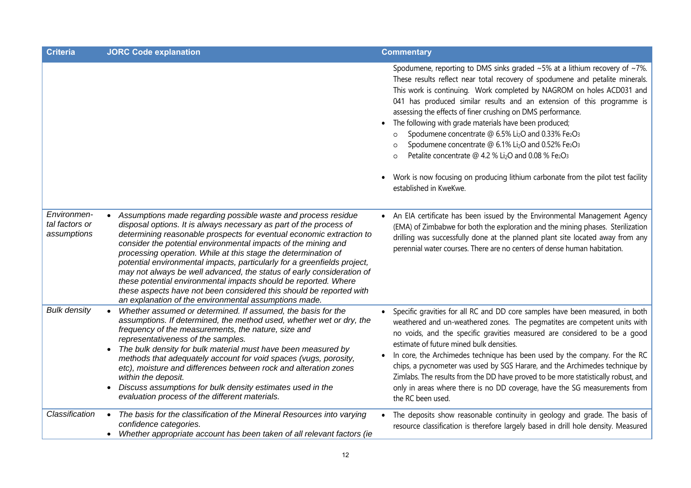| <b>Criteria</b>                              | <b>JORC Code explanation</b>                                                                                                                                                                                                                                                                                                                                                                                                                                                                                                                                                                                                                                                                            | <b>Commentary</b>                                                                                                                                                                                                                                                                                                                                                                                                                                                                                                                                                                                                                                                                                                                                                                            |
|----------------------------------------------|---------------------------------------------------------------------------------------------------------------------------------------------------------------------------------------------------------------------------------------------------------------------------------------------------------------------------------------------------------------------------------------------------------------------------------------------------------------------------------------------------------------------------------------------------------------------------------------------------------------------------------------------------------------------------------------------------------|----------------------------------------------------------------------------------------------------------------------------------------------------------------------------------------------------------------------------------------------------------------------------------------------------------------------------------------------------------------------------------------------------------------------------------------------------------------------------------------------------------------------------------------------------------------------------------------------------------------------------------------------------------------------------------------------------------------------------------------------------------------------------------------------|
|                                              |                                                                                                                                                                                                                                                                                                                                                                                                                                                                                                                                                                                                                                                                                                         | Spodumene, reporting to DMS sinks graded $~5\%$ at a lithium recovery of $~7\%$ .<br>These results reflect near total recovery of spodumene and petalite minerals.<br>This work is continuing. Work completed by NAGROM on holes ACD031 and<br>041 has produced similar results and an extension of this programme is<br>assessing the effects of finer crushing on DMS performance.<br>The following with grade materials have been produced;<br>Spodumene concentrate @ 6.5% Li <sub>2</sub> O and 0.33% Fe2O3<br>Spodumene concentrate @ 6.1% Li <sub>2</sub> O and 0.52% Fe2O3<br>Petalite concentrate @ 4.2 % Li <sub>2</sub> O and 0.08 % Fe <sub>2</sub> O <sub>3</sub><br>Work is now focusing on producing lithium carbonate from the pilot test facility<br>established in KweKwe. |
| Environmen-<br>tal factors or<br>assumptions | Assumptions made regarding possible waste and process residue<br>disposal options. It is always necessary as part of the process of<br>determining reasonable prospects for eventual economic extraction to<br>consider the potential environmental impacts of the mining and<br>processing operation. While at this stage the determination of<br>potential environmental impacts, particularly for a greenfields project,<br>may not always be well advanced, the status of early consideration of<br>these potential environmental impacts should be reported. Where<br>these aspects have not been considered this should be reported with<br>an explanation of the environmental assumptions made. | An EIA certificate has been issued by the Environmental Management Agency<br>(EMA) of Zimbabwe for both the exploration and the mining phases. Sterilization<br>drilling was successfully done at the planned plant site located away from any<br>perennial water courses. There are no centers of dense human habitation.                                                                                                                                                                                                                                                                                                                                                                                                                                                                   |
| <b>Bulk density</b>                          | Whether assumed or determined. If assumed, the basis for the<br>assumptions. If determined, the method used, whether wet or dry, the<br>frequency of the measurements, the nature, size and<br>representativeness of the samples.<br>The bulk density for bulk material must have been measured by<br>methods that adequately account for void spaces (vugs, porosity,<br>etc), moisture and differences between rock and alteration zones<br>within the deposit.<br>Discuss assumptions for bulk density estimates used in the<br>evaluation process of the different materials.                                                                                                                       | Specific gravities for all RC and DD core samples have been measured, in both<br>weathered and un-weathered zones. The pegmatites are competent units with<br>no voids, and the specific gravities measured are considered to be a good<br>estimate of future mined bulk densities.<br>In core, the Archimedes technique has been used by the company. For the RC<br>chips, a pycnometer was used by SGS Harare, and the Archimedes technique by<br>Zimlabs. The results from the DD have proved to be more statistically robust, and<br>only in areas where there is no DD coverage, have the SG measurements from<br>the RC been used.                                                                                                                                                     |
| Classification                               | The basis for the classification of the Mineral Resources into varying<br>confidence categories.<br>Whether appropriate account has been taken of all relevant factors (ie                                                                                                                                                                                                                                                                                                                                                                                                                                                                                                                              | The deposits show reasonable continuity in geology and grade. The basis of<br>resource classification is therefore largely based in drill hole density. Measured                                                                                                                                                                                                                                                                                                                                                                                                                                                                                                                                                                                                                             |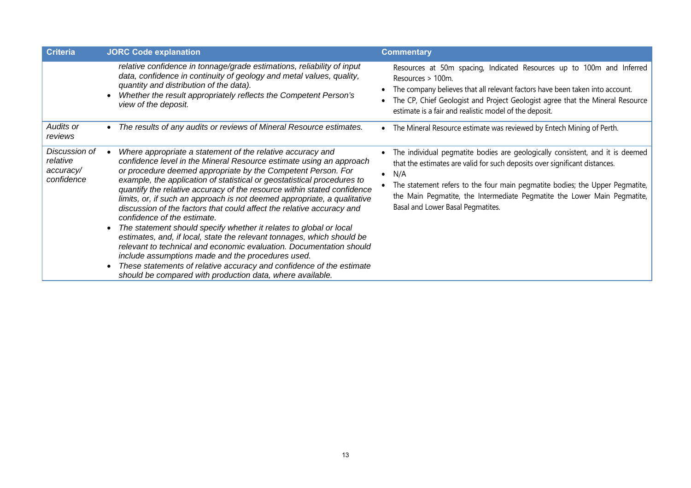| <b>Criteria</b>                                      | <b>JORC Code explanation</b>                                                                                                                                                                                                                                                                                                                                                                                                                                                                                                                                                                                                                                                                                                                                                                                                                                                                                                                                 | <b>Commentary</b>                                                                                                                                                                                                                                                                                                                                                   |
|------------------------------------------------------|--------------------------------------------------------------------------------------------------------------------------------------------------------------------------------------------------------------------------------------------------------------------------------------------------------------------------------------------------------------------------------------------------------------------------------------------------------------------------------------------------------------------------------------------------------------------------------------------------------------------------------------------------------------------------------------------------------------------------------------------------------------------------------------------------------------------------------------------------------------------------------------------------------------------------------------------------------------|---------------------------------------------------------------------------------------------------------------------------------------------------------------------------------------------------------------------------------------------------------------------------------------------------------------------------------------------------------------------|
|                                                      | relative confidence in tonnage/grade estimations, reliability of input<br>data, confidence in continuity of geology and metal values, quality,<br>quantity and distribution of the data).<br>Whether the result appropriately reflects the Competent Person's<br>view of the deposit.                                                                                                                                                                                                                                                                                                                                                                                                                                                                                                                                                                                                                                                                        | Resources at 50m spacing, Indicated Resources up to 100m and Inferred<br>Resources > 100m.<br>The company believes that all relevant factors have been taken into account.<br>The CP, Chief Geologist and Project Geologist agree that the Mineral Resource<br>estimate is a fair and realistic model of the deposit.                                               |
| Audits or<br>reviews                                 | The results of any audits or reviews of Mineral Resource estimates.                                                                                                                                                                                                                                                                                                                                                                                                                                                                                                                                                                                                                                                                                                                                                                                                                                                                                          | • The Mineral Resource estimate was reviewed by Entech Mining of Perth.                                                                                                                                                                                                                                                                                             |
| Discussion of<br>relative<br>accuracy/<br>confidence | Where appropriate a statement of the relative accuracy and<br>confidence level in the Mineral Resource estimate using an approach<br>or procedure deemed appropriate by the Competent Person. For<br>example, the application of statistical or geostatistical procedures to<br>quantify the relative accuracy of the resource within stated confidence<br>limits, or, if such an approach is not deemed appropriate, a qualitative<br>discussion of the factors that could affect the relative accuracy and<br>confidence of the estimate.<br>The statement should specify whether it relates to global or local<br>estimates, and, if local, state the relevant tonnages, which should be<br>relevant to technical and economic evaluation. Documentation should<br>include assumptions made and the procedures used.<br>These statements of relative accuracy and confidence of the estimate<br>should be compared with production data, where available. | The individual pegmatite bodies are geologically consistent, and it is deemed<br>that the estimates are valid for such deposits over significant distances.<br>N/A<br>The statement refers to the four main pegmatite bodies; the Upper Pegmatite,<br>the Main Pegmatite, the Intermediate Pegmatite the Lower Main Pegmatite,<br>Basal and Lower Basal Pegmatites. |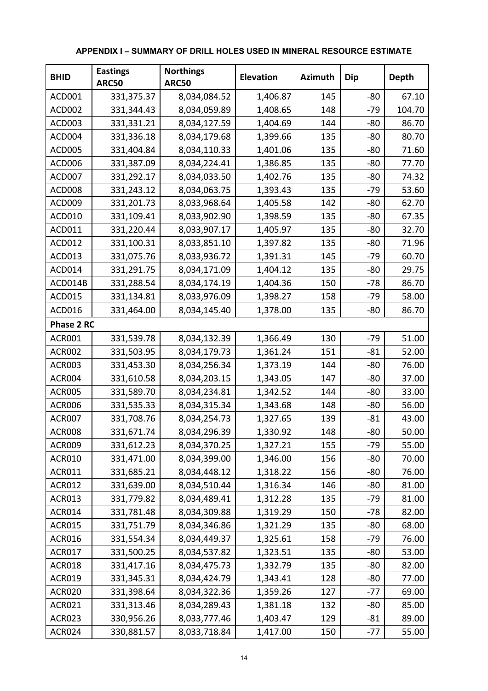| <b>BHID</b>       | <b>Eastings</b><br><b>ARC50</b> | <b>Northings</b><br><b>ARC50</b> | <b>Elevation</b> | <b>Azimuth</b> | Dip   | Depth  |
|-------------------|---------------------------------|----------------------------------|------------------|----------------|-------|--------|
| ACD001            | 331,375.37                      | 8,034,084.52                     | 1,406.87         | 145            | $-80$ | 67.10  |
| <b>ACD002</b>     | 331,344.43                      | 8,034,059.89                     | 1,408.65         | 148            | $-79$ | 104.70 |
| ACD003            | 331,331.21                      | 8,034,127.59                     | 1,404.69         | 144            | $-80$ | 86.70  |
| ACD004            | 331,336.18                      | 8,034,179.68                     | 1,399.66         | 135            | $-80$ | 80.70  |
| <b>ACD005</b>     | 331,404.84                      | 8,034,110.33                     | 1,401.06         | 135            | $-80$ | 71.60  |
| ACD006            | 331,387.09                      | 8,034,224.41                     | 1,386.85         | 135            | $-80$ | 77.70  |
| ACD007            | 331,292.17                      | 8,034,033.50                     | 1,402.76         | 135            | $-80$ | 74.32  |
| <b>ACD008</b>     | 331,243.12                      | 8,034,063.75                     | 1,393.43         | 135            | $-79$ | 53.60  |
| ACD009            | 331,201.73                      | 8,033,968.64                     | 1,405.58         | 142            | $-80$ | 62.70  |
| <b>ACD010</b>     | 331,109.41                      | 8,033,902.90                     | 1,398.59         | 135            | $-80$ | 67.35  |
| ACD011            | 331,220.44                      | 8,033,907.17                     | 1,405.97         | 135            | $-80$ | 32.70  |
| ACD012            | 331,100.31                      | 8,033,851.10                     | 1,397.82         | 135            | $-80$ | 71.96  |
| ACD013            | 331,075.76                      | 8,033,936.72                     | 1,391.31         | 145            | $-79$ | 60.70  |
| ACD014            | 331,291.75                      | 8,034,171.09                     | 1,404.12         | 135            | $-80$ | 29.75  |
| ACD014B           | 331,288.54                      | 8,034,174.19                     | 1,404.36         | 150            | $-78$ | 86.70  |
| <b>ACD015</b>     | 331,134.81                      | 8,033,976.09                     | 1,398.27         | 158            | $-79$ | 58.00  |
| ACD016            | 331,464.00                      | 8,034,145.40                     | 1,378.00         | 135            | $-80$ | 86.70  |
| <b>Phase 2 RC</b> |                                 |                                  |                  |                |       |        |
| <b>ACR001</b>     | 331,539.78                      | 8,034,132.39                     | 1,366.49         | 130            | $-79$ | 51.00  |
| <b>ACR002</b>     | 331,503.95                      | 8,034,179.73                     | 1,361.24         | 151            | $-81$ | 52.00  |
| <b>ACR003</b>     | 331,453.30                      | 8,034,256.34                     | 1,373.19         | 144            | $-80$ | 76.00  |
| <b>ACR004</b>     | 331,610.58                      | 8,034,203.15                     | 1,343.05         | 147            | $-80$ | 37.00  |
| <b>ACR005</b>     | 331,589.70                      | 8,034,234.81                     | 1,342.52         | 144            | $-80$ | 33.00  |
| <b>ACR006</b>     | 331,535.33                      | 8,034,315.34                     | 1,343.68         | 148            | $-80$ | 56.00  |
| <b>ACR007</b>     | 331,708.76                      | 8,034,254.73                     | 1,327.65         | 139            | $-81$ | 43.00  |
| <b>ACR008</b>     | 331,671.74                      | 8,034,296.39                     | 1,330.92         | 148            | $-80$ | 50.00  |
| <b>ACR009</b>     | 331,612.23                      | 8,034,370.25                     | 1,327.21         | 155            | $-79$ | 55.00  |
| <b>ACR010</b>     | 331,471.00                      | 8,034,399.00                     | 1,346.00         | 156            | $-80$ | 70.00  |
| <b>ACR011</b>     | 331,685.21                      | 8,034,448.12                     | 1,318.22         | 156            | $-80$ | 76.00  |
| <b>ACR012</b>     | 331,639.00                      | 8,034,510.44                     | 1,316.34         | 146            | $-80$ | 81.00  |
| <b>ACR013</b>     | 331,779.82                      | 8,034,489.41                     | 1,312.28         | 135            | $-79$ | 81.00  |
| <b>ACR014</b>     | 331,781.48                      | 8,034,309.88                     | 1,319.29         | 150            | $-78$ | 82.00  |
| <b>ACR015</b>     | 331,751.79                      | 8,034,346.86                     | 1,321.29         | 135            | $-80$ | 68.00  |
| <b>ACR016</b>     | 331,554.34                      | 8,034,449.37                     | 1,325.61         | 158            | $-79$ | 76.00  |
| <b>ACR017</b>     | 331,500.25                      | 8,034,537.82                     | 1,323.51         | 135            | $-80$ | 53.00  |
| <b>ACR018</b>     | 331,417.16                      | 8,034,475.73                     | 1,332.79         | 135            | $-80$ | 82.00  |
| <b>ACR019</b>     | 331,345.31                      | 8,034,424.79                     | 1,343.41         | 128            | $-80$ | 77.00  |
| <b>ACR020</b>     | 331,398.64                      | 8,034,322.36                     | 1,359.26         | 127            | $-77$ | 69.00  |
| <b>ACR021</b>     | 331,313.46                      | 8,034,289.43                     | 1,381.18         | 132            | $-80$ | 85.00  |
| <b>ACR023</b>     | 330,956.26                      | 8,033,777.46                     | 1,403.47         | 129            | $-81$ | 89.00  |
| <b>ACR024</b>     | 330,881.57                      | 8,033,718.84                     | 1,417.00         | 150            | $-77$ | 55.00  |

### **APPENDIX I – SUMMARY OF DRILL HOLES USED IN MINERAL RESOURCE ESTIMATE**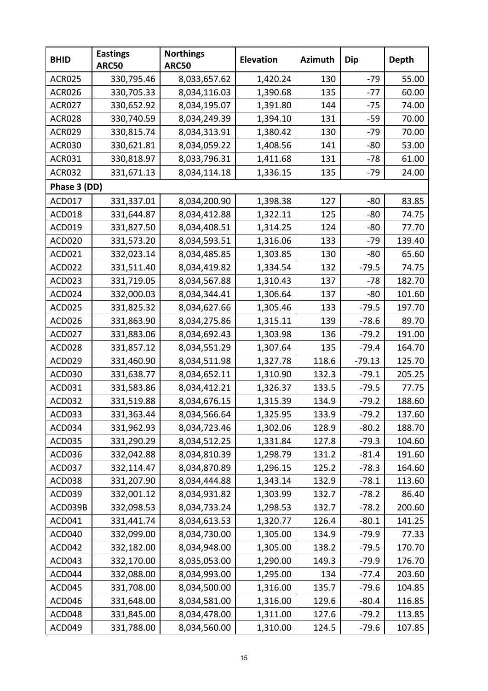| <b>BHID</b>   | <b>Eastings</b><br><b>ARC50</b> | <b>Northings</b><br><b>ARC50</b> | <b>Elevation</b> | <b>Azimuth</b> | <b>Dip</b> | <b>Depth</b> |
|---------------|---------------------------------|----------------------------------|------------------|----------------|------------|--------------|
| <b>ACR025</b> | 330,795.46                      | 8,033,657.62                     | 1,420.24         | 130            | -79        | 55.00        |
| <b>ACR026</b> | 330,705.33                      | 8,034,116.03                     | 1,390.68         | 135            | $-77$      | 60.00        |
| <b>ACR027</b> | 330,652.92                      | 8,034,195.07                     | 1,391.80         | 144            | $-75$      | 74.00        |
| <b>ACR028</b> | 330,740.59                      | 8,034,249.39                     | 1,394.10         | 131            | -59        | 70.00        |
| <b>ACR029</b> | 330,815.74                      | 8,034,313.91                     | 1,380.42         | 130            | $-79$      | 70.00        |
| <b>ACR030</b> | 330,621.81                      | 8,034,059.22                     | 1,408.56         | 141            | $-80$      | 53.00        |
| <b>ACR031</b> | 330,818.97                      | 8,033,796.31                     | 1,411.68         | 131            | -78        | 61.00        |
| <b>ACR032</b> | 331,671.13                      | 8,034,114.18                     | 1,336.15         | 135            | $-79$      | 24.00        |
| Phase 3 (DD)  |                                 |                                  |                  |                |            |              |
| ACD017        | 331,337.01                      | 8,034,200.90                     | 1,398.38         | 127            | $-80$      | 83.85        |
| ACD018        | 331,644.87                      | 8,034,412.88                     | 1,322.11         | 125            | -80        | 74.75        |
| ACD019        | 331,827.50                      | 8,034,408.51                     | 1,314.25         | 124            | -80        | 77.70        |
| <b>ACD020</b> | 331,573.20                      | 8,034,593.51                     | 1,316.06         | 133            | $-79$      | 139.40       |
| ACD021        | 332,023.14                      | 8,034,485.85                     | 1,303.85         | 130            | $-80$      | 65.60        |
| ACD022        | 331,511.40                      | 8,034,419.82                     | 1,334.54         | 132            | $-79.5$    | 74.75        |
| ACD023        | 331,719.05                      | 8,034,567.88                     | 1,310.43         | 137            | -78        | 182.70       |
| ACD024        | 332,000.03                      | 8,034,344.41                     | 1,306.64         | 137            | $-80$      | 101.60       |
| ACD025        | 331,825.32                      | 8,034,627.66                     | 1,305.46         | 133            | $-79.5$    | 197.70       |
| ACD026        | 331,863.90                      | 8,034,275.86                     | 1,315.11         | 139            | $-78.6$    | 89.70        |
| ACD027        | 331,883.06                      | 8,034,692.43                     | 1,303.98         | 136            | $-79.2$    | 191.00       |
| ACD028        | 331,857.12                      | 8,034,551.29                     | 1,307.64         | 135            | $-79.4$    | 164.70       |
| ACD029        | 331,460.90                      | 8,034,511.98                     | 1,327.78         | 118.6          | $-79.13$   | 125.70       |
| <b>ACD030</b> | 331,638.77                      | 8,034,652.11                     | 1,310.90         | 132.3          | $-79.1$    | 205.25       |
| ACD031        | 331,583.86                      | 8,034,412.21                     | 1,326.37         | 133.5          | $-79.5$    | 77.75        |
| ACD032        | 331,519.88                      | 8,034,676.15                     | 1,315.39         | 134.9          | $-79.2$    | 188.60       |
| ACD033        | 331,363.44                      | 8,034,566.64                     | 1,325.95         | 133.9          | $-79.2$    | 137.60       |
| ACD034        | 331,962.93                      | 8,034,723.46                     | 1,302.06         | 128.9          | $-80.2$    | 188.70       |
| <b>ACD035</b> | 331,290.29                      | 8,034,512.25                     | 1,331.84         | 127.8          | $-79.3$    | 104.60       |
| ACD036        | 332,042.88                      | 8,034,810.39                     | 1,298.79         | 131.2          | $-81.4$    | 191.60       |
| <b>ACD037</b> | 332,114.47                      | 8,034,870.89                     | 1,296.15         | 125.2          | $-78.3$    | 164.60       |
| ACD038        | 331,207.90                      | 8,034,444.88                     | 1,343.14         | 132.9          | $-78.1$    | 113.60       |
| ACD039        | 332,001.12                      | 8,034,931.82                     | 1,303.99         | 132.7          | $-78.2$    | 86.40        |
| ACD039B       | 332,098.53                      | 8,034,733.24                     | 1,298.53         | 132.7          | $-78.2$    | 200.60       |
| ACD041        | 331,441.74                      | 8,034,613.53                     | 1,320.77         | 126.4          | $-80.1$    | 141.25       |
| ACD040        | 332,099.00                      | 8,034,730.00                     | 1,305.00         | 134.9          | $-79.9$    | 77.33        |
| ACD042        | 332,182.00                      | 8,034,948.00                     | 1,305.00         | 138.2          | $-79.5$    | 170.70       |
| ACD043        | 332,170.00                      | 8,035,053.00                     | 1,290.00         | 149.3          | $-79.9$    | 176.70       |
| ACD044        | 332,088.00                      | 8,034,993.00                     | 1,295.00         | 134            | $-77.4$    | 203.60       |
| ACD045        | 331,708.00                      | 8,034,500.00                     | 1,316.00         | 135.7          | $-79.6$    | 104.85       |
| ACD046        | 331,648.00                      | 8,034,581.00                     | 1,316.00         | 129.6          | $-80.4$    | 116.85       |
| ACD048        | 331,845.00                      | 8,034,478.00                     | 1,311.00         | 127.6          | $-79.2$    | 113.85       |
| ACD049        | 331,788.00                      | 8,034,560.00                     | 1,310.00         | 124.5          | $-79.6$    | 107.85       |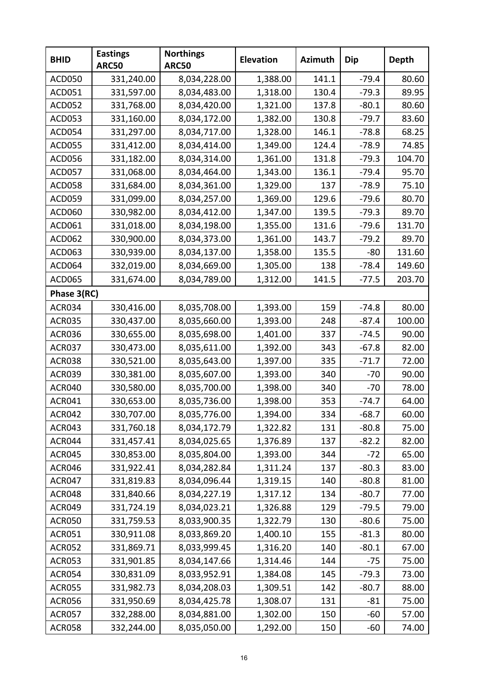| <b>BHID</b>   | <b>Eastings</b><br><b>ARC50</b> | <b>Northings</b><br><b>ARC50</b> | <b>Elevation</b> | <b>Azimuth</b> | <b>Dip</b> | <b>Depth</b> |
|---------------|---------------------------------|----------------------------------|------------------|----------------|------------|--------------|
| <b>ACD050</b> | 331,240.00                      | 8,034,228.00                     | 1,388.00         | 141.1          | $-79.4$    | 80.60        |
| <b>ACD051</b> | 331,597.00                      | 8,034,483.00                     | 1,318.00         | 130.4          | $-79.3$    | 89.95        |
| <b>ACD052</b> | 331,768.00                      | 8,034,420.00                     | 1,321.00         | 137.8          | $-80.1$    | 80.60        |
| <b>ACD053</b> | 331,160.00                      | 8,034,172.00                     | 1,382.00         | 130.8          | $-79.7$    | 83.60        |
| ACD054        | 331,297.00                      | 8,034,717.00                     | 1,328.00         | 146.1          | $-78.8$    | 68.25        |
| <b>ACD055</b> | 331,412.00                      | 8,034,414.00                     | 1,349.00         | 124.4          | $-78.9$    | 74.85        |
| <b>ACD056</b> | 331,182.00                      | 8,034,314.00                     | 1,361.00         | 131.8          | $-79.3$    | 104.70       |
| ACD057        | 331,068.00                      | 8,034,464.00                     | 1,343.00         | 136.1          | $-79.4$    | 95.70        |
| <b>ACD058</b> | 331,684.00                      | 8,034,361.00                     | 1,329.00         | 137            | $-78.9$    | 75.10        |
| <b>ACD059</b> | 331,099.00                      | 8,034,257.00                     | 1,369.00         | 129.6          | $-79.6$    | 80.70        |
| ACD060        | 330,982.00                      | 8,034,412.00                     | 1,347.00         | 139.5          | $-79.3$    | 89.70        |
| ACD061        | 331,018.00                      | 8,034,198.00                     | 1,355.00         | 131.6          | $-79.6$    | 131.70       |
| ACD062        | 330,900.00                      | 8,034,373.00                     | 1,361.00         | 143.7          | $-79.2$    | 89.70        |
| <b>ACD063</b> | 330,939.00                      | 8,034,137.00                     | 1,358.00         | 135.5          | -80        | 131.60       |
| ACD064        | 332,019.00                      | 8,034,669.00                     | 1,305.00         | 138            | $-78.4$    | 149.60       |
| <b>ACD065</b> | 331,674.00                      | 8,034,789.00                     | 1,312.00         | 141.5          | $-77.5$    | 203.70       |
| Phase 3(RC)   |                                 |                                  |                  |                |            |              |
| <b>ACR034</b> | 330,416.00                      | 8,035,708.00                     | 1,393.00         | 159            | $-74.8$    | 80.00        |
| <b>ACR035</b> | 330,437.00                      | 8,035,660.00                     | 1,393.00         | 248            | $-87.4$    | 100.00       |
| <b>ACR036</b> | 330,655.00                      | 8,035,698.00                     | 1,401.00         | 337            | $-74.5$    | 90.00        |
| <b>ACR037</b> | 330,473.00                      | 8,035,611.00                     | 1,392.00         | 343            | $-67.8$    | 82.00        |
| <b>ACR038</b> | 330,521.00                      | 8,035,643.00                     | 1,397.00         | 335            | $-71.7$    | 72.00        |
| <b>ACR039</b> | 330,381.00                      | 8,035,607.00                     | 1,393.00         | 340            | $-70$      | 90.00        |
| <b>ACR040</b> | 330,580.00                      | 8,035,700.00                     | 1,398.00         | 340            | $-70$      | 78.00        |
| <b>ACR041</b> | 330,653.00                      | 8,035,736.00                     | 1,398.00         | 353            | $-74.7$    | 64.00        |
| <b>ACR042</b> | 330,707.00                      | 8,035,776.00                     | 1,394.00         | 334            | $-68.7$    | 60.00        |
| <b>ACR043</b> | 331,760.18                      | 8,034,172.79                     | 1,322.82         | 131            | $-80.8$    | 75.00        |
| ACR044        | 331,457.41                      | 8,034,025.65                     | 1,376.89         | 137            | $-82.2$    | 82.00        |
| <b>ACR045</b> | 330,853.00                      | 8,035,804.00                     | 1,393.00         | 344            | $-72$      | 65.00        |
| <b>ACR046</b> | 331,922.41                      | 8,034,282.84                     | 1,311.24         | 137            | $-80.3$    | 83.00        |
| <b>ACR047</b> | 331,819.83                      | 8,034,096.44                     | 1,319.15         | 140            | $-80.8$    | 81.00        |
| <b>ACR048</b> | 331,840.66                      | 8,034,227.19                     | 1,317.12         | 134            | $-80.7$    | 77.00        |
| <b>ACR049</b> | 331,724.19                      | 8,034,023.21                     | 1,326.88         | 129            | $-79.5$    | 79.00        |
| <b>ACR050</b> | 331,759.53                      | 8,033,900.35                     | 1,322.79         | 130            | $-80.6$    | 75.00        |
| <b>ACR051</b> | 330,911.08                      | 8,033,869.20                     | 1,400.10         | 155            | $-81.3$    | 80.00        |
| <b>ACR052</b> | 331,869.71                      | 8,033,999.45                     | 1,316.20         | 140            | $-80.1$    | 67.00        |
| <b>ACR053</b> | 331,901.85                      | 8,034,147.66                     | 1,314.46         | 144            | $-75$      | 75.00        |
| <b>ACR054</b> | 330,831.09                      | 8,033,952.91                     | 1,384.08         | 145            | $-79.3$    | 73.00        |
| <b>ACR055</b> | 331,982.73                      | 8,034,208.03                     | 1,309.51         | 142            | $-80.7$    | 88.00        |
| <b>ACR056</b> | 331,950.69                      | 8,034,425.78                     | 1,308.07         | 131            | $-81$      | 75.00        |
| <b>ACR057</b> | 332,288.00                      | 8,034,881.00                     | 1,302.00         | 150            | $-60$      | 57.00        |
| <b>ACR058</b> | 332,244.00                      | 8,035,050.00                     | 1,292.00         | 150            | -60        | 74.00        |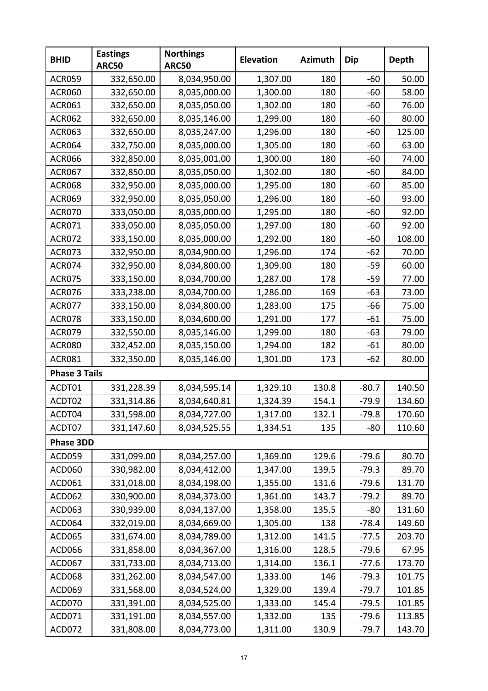| <b>BHID</b>          | <b>Eastings</b><br><b>ARC50</b> | <b>Northings</b><br><b>ARC50</b> | <b>Elevation</b> | <b>Azimuth</b> | <b>Dip</b> | <b>Depth</b> |
|----------------------|---------------------------------|----------------------------------|------------------|----------------|------------|--------------|
| <b>ACR059</b>        | 332,650.00                      | 8,034,950.00                     | 1,307.00         | 180            | $-60$      | 50.00        |
| <b>ACR060</b>        | 332,650.00                      | 8,035,000.00                     | 1,300.00         | 180            | $-60$      | 58.00        |
| <b>ACR061</b>        | 332,650.00                      | 8,035,050.00                     | 1,302.00         | 180            | $-60$      | 76.00        |
| <b>ACR062</b>        | 332,650.00                      | 8,035,146.00                     | 1,299.00         | 180            | $-60$      | 80.00        |
| <b>ACR063</b>        | 332,650.00                      | 8,035,247.00                     | 1,296.00         | 180            | $-60$      | 125.00       |
| <b>ACR064</b>        | 332,750.00                      | 8,035,000.00                     | 1,305.00         | 180            | $-60$      | 63.00        |
| <b>ACR066</b>        | 332,850.00                      | 8,035,001.00                     | 1,300.00         | 180            | $-60$      | 74.00        |
| <b>ACR067</b>        | 332,850.00                      | 8,035,050.00                     | 1,302.00         | 180            | -60        | 84.00        |
| <b>ACR068</b>        | 332,950.00                      | 8,035,000.00                     | 1,295.00         | 180            | $-60$      | 85.00        |
| <b>ACR069</b>        | 332,950.00                      | 8,035,050.00                     | 1,296.00         | 180            | -60        | 93.00        |
| <b>ACR070</b>        | 333,050.00                      | 8,035,000.00                     | 1,295.00         | 180            | $-60$      | 92.00        |
| <b>ACR071</b>        | 333,050.00                      | 8,035,050.00                     | 1,297.00         | 180            | -60        | 92.00        |
| <b>ACR072</b>        | 333,150.00                      | 8,035,000.00                     | 1,292.00         | 180            | $-60$      | 108.00       |
| <b>ACR073</b>        | 332,950.00                      | 8,034,900.00                     | 1,296.00         | 174            | $-62$      | 70.00        |
| <b>ACR074</b>        | 332,950.00                      | 8,034,800.00                     | 1,309.00         | 180            | $-59$      | 60.00        |
| <b>ACR075</b>        | 333,150.00                      | 8,034,700.00                     | 1,287.00         | 178            | $-59$      | 77.00        |
| <b>ACR076</b>        | 333,238.00                      | 8,034,700.00                     | 1,286.00         | 169            | $-63$      | 73.00        |
| <b>ACR077</b>        | 333,150.00                      | 8,034,800.00                     | 1,283.00         | 175            | -66        | 75.00        |
| <b>ACR078</b>        | 333,150.00                      | 8,034,600.00                     | 1,291.00         | 177            | $-61$      | 75.00        |
| <b>ACR079</b>        | 332,550.00                      | 8,035,146.00                     | 1,299.00         | 180            | $-63$      | 79.00        |
| <b>ACR080</b>        | 332,452.00                      | 8,035,150.00                     | 1,294.00         | 182            | $-61$      | 80.00        |
| <b>ACR081</b>        | 332,350.00                      | 8,035,146.00                     | 1,301.00         | 173            | $-62$      | 80.00        |
| <b>Phase 3 Tails</b> |                                 |                                  |                  |                |            |              |
| ACDT01               | 331,228.39                      | 8,034,595.14                     | 1,329.10         | 130.8          | $-80.7$    | 140.50       |
| ACDT02               | 331,314.86                      | 8,034,640.81                     | 1,324.39         | 154.1          | $-79.9$    | 134.60       |
| ACDT04               | 331,598.00                      | 8,034,727.00                     | 1,317.00         | 132.1          | $-79.8$    | 170.60       |
| ACDT07               | 331,147.60                      | 8,034,525.55                     | 1,334.51         | 135            | $-80$      | 110.60       |
| Phase 3DD            |                                 |                                  |                  |                |            |              |
| <b>ACD059</b>        | 331,099.00                      | 8,034,257.00                     | 1,369.00         | 129.6          | $-79.6$    | 80.70        |
| ACD060               | 330,982.00                      | 8,034,412.00                     | 1,347.00         | 139.5          | $-79.3$    | 89.70        |
| ACD061               | 331,018.00                      | 8,034,198.00                     | 1,355.00         | 131.6          | $-79.6$    | 131.70       |
| <b>ACD062</b>        | 330,900.00                      | 8,034,373.00                     | 1,361.00         | 143.7          | $-79.2$    | 89.70        |
| <b>ACD063</b>        | 330,939.00                      | 8,034,137.00                     | 1,358.00         | 135.5          | $-80$      | 131.60       |
| ACD064               | 332,019.00                      | 8,034,669.00                     | 1,305.00         | 138            | $-78.4$    | 149.60       |
| <b>ACD065</b>        | 331,674.00                      | 8,034,789.00                     | 1,312.00         | 141.5          | $-77.5$    | 203.70       |
| ACD066               | 331,858.00                      | 8,034,367.00                     | 1,316.00         | 128.5          | $-79.6$    | 67.95        |
| ACD067               | 331,733.00                      | 8,034,713.00                     | 1,314.00         | 136.1          | $-77.6$    | 173.70       |
| <b>ACD068</b>        | 331,262.00                      | 8,034,547.00                     | 1,333.00         | 146            | $-79.3$    | 101.75       |
| ACD069               | 331,568.00                      | 8,034,524.00                     | 1,329.00         | 139.4          | $-79.7$    | 101.85       |
| ACD070               | 331,391.00                      | 8,034,525.00                     | 1,333.00         | 145.4          | $-79.5$    | 101.85       |
| ACD071               | 331,191.00                      | 8,034,557.00                     | 1,332.00         | 135            | $-79.6$    | 113.85       |
| ACD072               | 331,808.00                      | 8,034,773.00                     | 1,311.00         | 130.9          | $-79.7$    | 143.70       |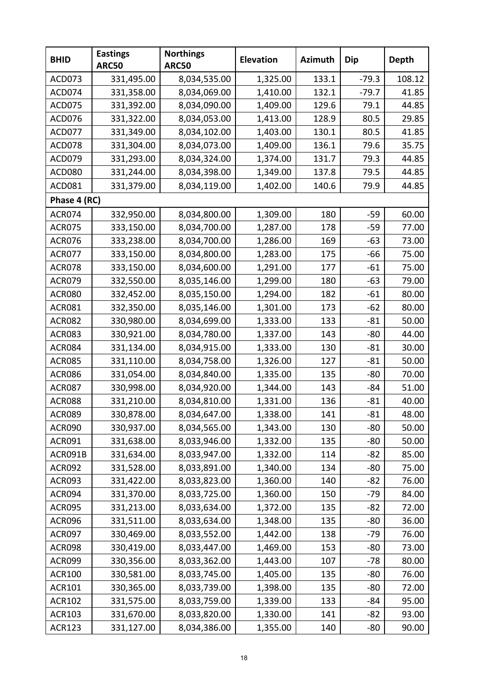| <b>BHID</b>   | <b>Eastings</b><br><b>ARC50</b> | <b>Northings</b><br><b>ARC50</b> | <b>Elevation</b> | <b>Azimuth</b> | <b>Dip</b> | <b>Depth</b> |
|---------------|---------------------------------|----------------------------------|------------------|----------------|------------|--------------|
| ACD073        | 331,495.00                      | 8,034,535.00                     | 1,325.00         | 133.1          | $-79.3$    | 108.12       |
| ACD074        | 331,358.00                      | 8,034,069.00                     | 1,410.00         | 132.1          | $-79.7$    | 41.85        |
| <b>ACD075</b> | 331,392.00                      | 8,034,090.00                     | 1,409.00         | 129.6          | 79.1       | 44.85        |
| ACD076        | 331,322.00                      | 8,034,053.00                     | 1,413.00         | 128.9          | 80.5       | 29.85        |
| ACD077        | 331,349.00                      | 8,034,102.00                     | 1,403.00         | 130.1          | 80.5       | 41.85        |
| ACD078        | 331,304.00                      | 8,034,073.00                     | 1,409.00         | 136.1          | 79.6       | 35.75        |
| ACD079        | 331,293.00                      | 8,034,324.00                     | 1,374.00         | 131.7          | 79.3       | 44.85        |
| <b>ACD080</b> | 331,244.00                      | 8,034,398.00                     | 1,349.00         | 137.8          | 79.5       | 44.85        |
| ACD081        | 331,379.00                      | 8,034,119.00                     | 1,402.00         | 140.6          | 79.9       | 44.85        |
| Phase 4 (RC)  |                                 |                                  |                  |                |            |              |
| <b>ACR074</b> | 332,950.00                      | 8,034,800.00                     | 1,309.00         | 180            | $-59$      | 60.00        |
| <b>ACR075</b> | 333,150.00                      | 8,034,700.00                     | 1,287.00         | 178            | $-59$      | 77.00        |
| <b>ACR076</b> | 333,238.00                      | 8,034,700.00                     | 1,286.00         | 169            | $-63$      | 73.00        |
| <b>ACR077</b> | 333,150.00                      | 8,034,800.00                     | 1,283.00         | 175            | -66        | 75.00        |
| <b>ACR078</b> | 333,150.00                      | 8,034,600.00                     | 1,291.00         | 177            | $-61$      | 75.00        |
| <b>ACR079</b> | 332,550.00                      | 8,035,146.00                     | 1,299.00         | 180            | $-63$      | 79.00        |
| <b>ACR080</b> | 332,452.00                      | 8,035,150.00                     | 1,294.00         | 182            | $-61$      | 80.00        |
| <b>ACR081</b> | 332,350.00                      | 8,035,146.00                     | 1,301.00         | 173            | $-62$      | 80.00        |
| <b>ACR082</b> | 330,980.00                      | 8,034,699.00                     | 1,333.00         | 133            | $-81$      | 50.00        |
| <b>ACR083</b> | 330,921.00                      | 8,034,780.00                     | 1,337.00         | 143            | $-80$      | 44.00        |
| <b>ACR084</b> | 331,134.00                      | 8,034,915.00                     | 1,333.00         | 130            | $-81$      | 30.00        |
| <b>ACR085</b> | 331,110.00                      | 8,034,758.00                     | 1,326.00         | 127            | $-81$      | 50.00        |
| <b>ACR086</b> | 331,054.00                      | 8,034,840.00                     | 1,335.00         | 135            | $-80$      | 70.00        |
| <b>ACR087</b> | 330,998.00                      | 8,034,920.00                     | 1,344.00         | 143            | $-84$      | 51.00        |
| <b>ACR088</b> | 331,210.00                      | 8,034,810.00                     | 1,331.00         | 136            | $-81$      | 40.00        |
| <b>ACR089</b> | 330,878.00                      | 8,034,647.00                     | 1,338.00         | 141            | $-81$      | 48.00        |
| <b>ACR090</b> | 330,937.00                      | 8,034,565.00                     | 1,343.00         | 130            | -80        | 50.00        |
| <b>ACR091</b> | 331,638.00                      | 8,033,946.00                     | 1,332.00         | 135            | $-80$      | 50.00        |
| ACR091B       | 331,634.00                      | 8,033,947.00                     | 1,332.00         | 114            | $-82$      | 85.00        |
| <b>ACR092</b> | 331,528.00                      | 8,033,891.00                     | 1,340.00         | 134            | $-80$      | 75.00        |
| <b>ACR093</b> | 331,422.00                      | 8,033,823.00                     | 1,360.00         | 140            | $-82$      | 76.00        |
| ACR094        | 331,370.00                      | 8,033,725.00                     | 1,360.00         | 150            | $-79$      | 84.00        |
| <b>ACR095</b> | 331,213.00                      | 8,033,634.00                     | 1,372.00         | 135            | $-82$      | 72.00        |
| <b>ACR096</b> | 331,511.00                      | 8,033,634.00                     | 1,348.00         | 135            | $-80$      | 36.00        |
| <b>ACR097</b> | 330,469.00                      | 8,033,552.00                     | 1,442.00         | 138            | $-79$      | 76.00        |
| <b>ACR098</b> | 330,419.00                      | 8,033,447.00                     | 1,469.00         | 153            | $-80$      | 73.00        |
| ACR099        | 330,356.00                      | 8,033,362.00                     | 1,443.00         | 107            | $-78$      | 80.00        |
| <b>ACR100</b> | 330,581.00                      | 8,033,745.00                     | 1,405.00         | 135            | $-80$      | 76.00        |
| <b>ACR101</b> | 330,365.00                      | 8,033,739.00                     | 1,398.00         | 135            | $-80$      | 72.00        |
| <b>ACR102</b> | 331,575.00                      | 8,033,759.00                     | 1,339.00         | 133            | $-84$      | 95.00        |
| <b>ACR103</b> | 331,670.00                      | 8,033,820.00                     | 1,330.00         | 141            | $-82$      | 93.00        |
| <b>ACR123</b> | 331,127.00                      | 8,034,386.00                     | 1,355.00         | 140            | -80        | 90.00        |